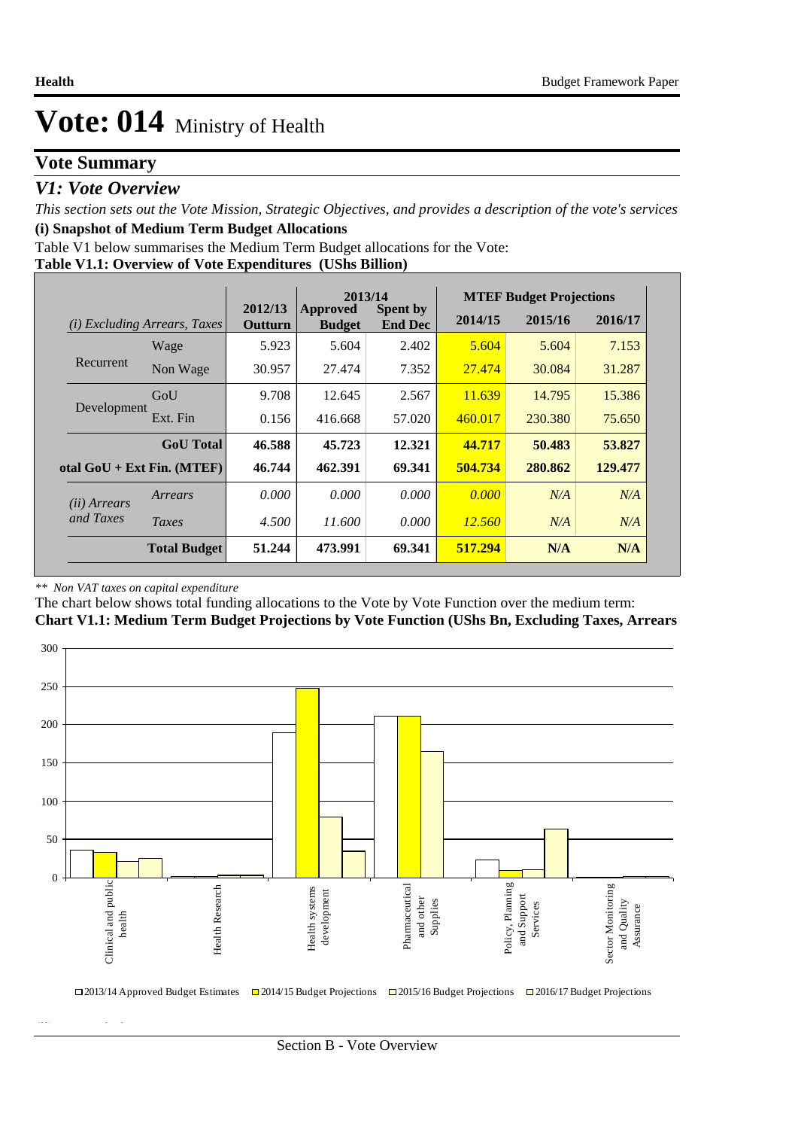### **Vote Summary**

### *V1: Vote Overview*

*This section sets out the Vote Mission, Strategic Objectives, and provides a description of the vote's services* **(i) Snapshot of Medium Term Budget Allocations** 

**Table V1.1: Overview of Vote Expenditures (UShs Billion)** Table V1 below summarises the Medium Term Budget allocations for the Vote:

|                       |                                 |                    | 2013/14                   |                                   | <b>MTEF Budget Projections</b> |         |         |  |
|-----------------------|---------------------------------|--------------------|---------------------------|-----------------------------------|--------------------------------|---------|---------|--|
| (i)                   | <i>Excluding Arrears, Taxes</i> | 2012/13<br>Outturn | Approved<br><b>Budget</b> | <b>Spent by</b><br><b>End Dec</b> | 2014/15                        | 2015/16 | 2016/17 |  |
|                       | Wage                            | 5.923              | 5.604                     | 2.402                             | 5.604                          | 5.604   | 7.153   |  |
| Recurrent             | Non Wage                        | 30.957             | 27.474                    | 7.352                             | 27.474                         | 30.084  | 31.287  |  |
|                       | GoU                             | 9.708              | 12.645                    | 2.567                             | 11.639                         | 14.795  | 15.386  |  |
| Development           | Ext. Fin                        | 0.156              | 416.668                   | 57.020                            | 460.017                        | 230.380 | 75.650  |  |
|                       | <b>GoU</b> Total                | 46.588             | 45.723                    | 12.321                            | 44.717                         | 50.483  | 53.827  |  |
|                       | otal $GoU + Ext Fin. (MTEF)$    | 46.744             | 462.391                   | 69.341                            | 504.734                        | 280.862 | 129,477 |  |
| ( <i>ii</i> ) Arrears | Arrears                         | 0.000              | 0.000                     | 0.000                             | 0.000                          | N/A     | N/A     |  |
| and Taxes             | Taxes                           | 4.500              | 11.600                    | 0.000                             | <u>12.560</u>                  | N/A     | N/A     |  |
|                       | <b>Total Budget</b>             | 51.244             | 473.991                   | 69.341                            | 517.294                        | N/A     | N/A     |  |

#### *\*\* Non VAT taxes on capital expenditure*

**(ii) Vote Mission Statement**

The chart below shows total funding allocations to the Vote by Vote Function over the medium term:

**Chart V1.1: Medium Term Budget Projections by Vote Function (UShs Bn, Excluding Taxes, Arrears**

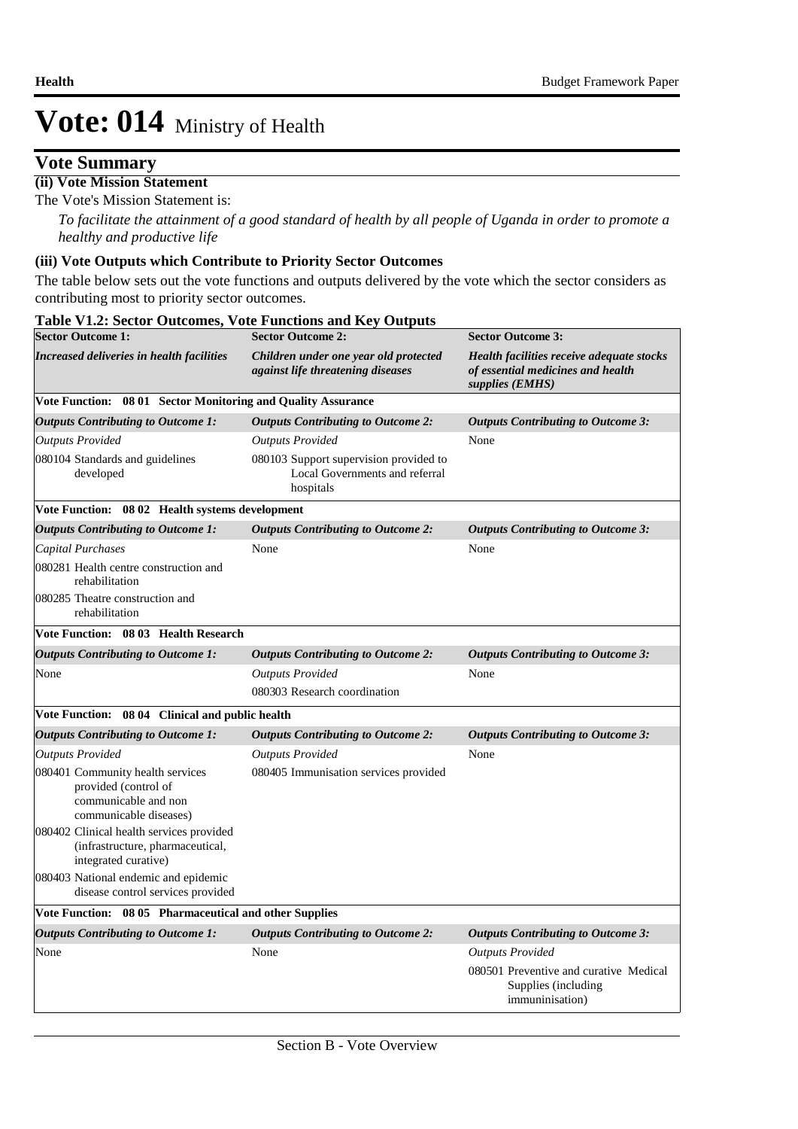### **Vote Summary**

#### **(ii) Vote Mission Statement**

The Vote's Mission Statement is:

*To facilitate the attainment of a good standard of health by all people of Uganda in order to promote a healthy and productive life*

#### **(iii) Vote Outputs which Contribute to Priority Sector Outcomes**

The table below sets out the vote functions and outputs delivered by the vote which the sector considers as contributing most to priority sector outcomes.

| <b>Sector Outcome 1:</b>                                                                                                                                                                   | <b>Sector Outcome 2:</b>                                                              | <b>Sector Outcome 3:</b>                                                                          |
|--------------------------------------------------------------------------------------------------------------------------------------------------------------------------------------------|---------------------------------------------------------------------------------------|---------------------------------------------------------------------------------------------------|
| <b>Increased deliveries in health facilities</b>                                                                                                                                           | Children under one year old protected<br>against life threatening diseases            | Health facilities receive adequate stocks<br>of essential medicines and health<br>supplies (EMHS) |
| Vote Function: 08 01 Sector Monitoring and Quality Assurance                                                                                                                               |                                                                                       |                                                                                                   |
| <b>Outputs Contributing to Outcome 1:</b>                                                                                                                                                  | <b>Outputs Contributing to Outcome 2:</b>                                             | <b>Outputs Contributing to Outcome 3:</b>                                                         |
| <b>Outputs Provided</b>                                                                                                                                                                    | <b>Outputs Provided</b>                                                               | None                                                                                              |
| 080104 Standards and guidelines<br>developed                                                                                                                                               | 080103 Support supervision provided to<br>Local Governments and referral<br>hospitals |                                                                                                   |
| Vote Function: 08 02 Health systems development                                                                                                                                            |                                                                                       |                                                                                                   |
| <b>Outputs Contributing to Outcome 1:</b>                                                                                                                                                  | <b>Outputs Contributing to Outcome 2:</b>                                             | <b>Outputs Contributing to Outcome 3:</b>                                                         |
| Capital Purchases                                                                                                                                                                          | None                                                                                  | None                                                                                              |
| 080281 Health centre construction and<br>rehabilitation                                                                                                                                    |                                                                                       |                                                                                                   |
| 080285 Theatre construction and<br>rehabilitation                                                                                                                                          |                                                                                       |                                                                                                   |
| Vote Function: 08 03 Health Research                                                                                                                                                       |                                                                                       |                                                                                                   |
| <b>Outputs Contributing to Outcome 1:</b>                                                                                                                                                  | <b>Outputs Contributing to Outcome 2:</b>                                             | <b>Outputs Contributing to Outcome 3:</b>                                                         |
| None                                                                                                                                                                                       | <b>Outputs Provided</b>                                                               | None                                                                                              |
|                                                                                                                                                                                            | 080303 Research coordination                                                          |                                                                                                   |
| Vote Function: 08 04 Clinical and public health                                                                                                                                            |                                                                                       |                                                                                                   |
| <b>Outputs Contributing to Outcome 1:</b>                                                                                                                                                  | <b>Outputs Contributing to Outcome 2:</b>                                             | <b>Outputs Contributing to Outcome 3:</b>                                                         |
| <b>Outputs Provided</b>                                                                                                                                                                    | <b>Outputs Provided</b>                                                               | None                                                                                              |
| 080401 Community health services<br>provided (control of<br>communicable and non<br>communicable diseases)<br>080402 Clinical health services provided<br>(infrastructure, pharmaceutical, | 080405 Immunisation services provided                                                 |                                                                                                   |
| integrated curative)                                                                                                                                                                       |                                                                                       |                                                                                                   |
| 080403 National endemic and epidemic<br>disease control services provided                                                                                                                  |                                                                                       |                                                                                                   |
| Vote Function: 08 05 Pharmaceutical and other Supplies                                                                                                                                     |                                                                                       |                                                                                                   |
| <b>Outputs Contributing to Outcome 1:</b>                                                                                                                                                  | <b>Outputs Contributing to Outcome 2:</b>                                             | <b>Outputs Contributing to Outcome 3:</b>                                                         |
| None                                                                                                                                                                                       | None                                                                                  | <b>Outputs Provided</b>                                                                           |
|                                                                                                                                                                                            |                                                                                       | 080501 Preventive and curative Medical<br>Supplies (including<br>immuninisation)                  |

#### **Table V1.2: Sector Outcomes, Vote Functions and Key Outputs**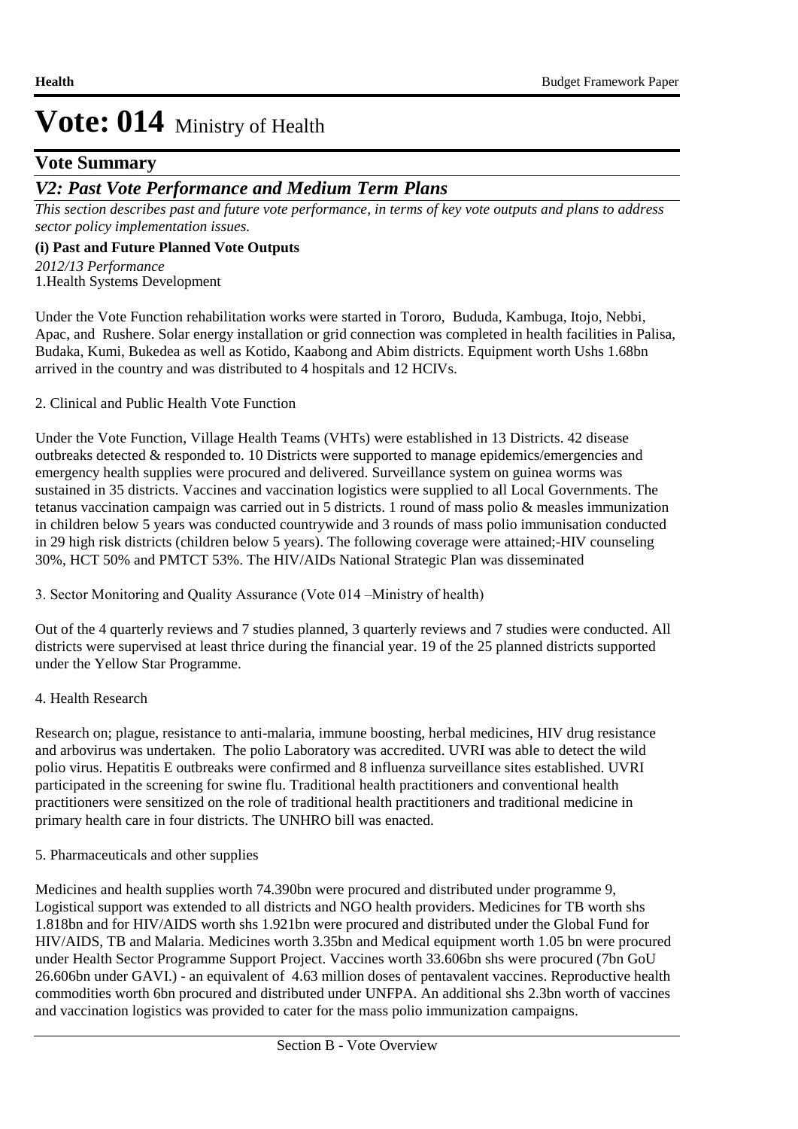### **Vote Summary**

### *V2: Past Vote Performance and Medium Term Plans*

*This section describes past and future vote performance, in terms of key vote outputs and plans to address sector policy implementation issues.* 

#### **(i) Past and Future Planned Vote Outputs**

1. Health Systems Development *2012/13 Performance*

Under the Vote Function rehabilitation works were started in Tororo, Bududa, Kambuga, Itojo, Nebbi, Apac, and Rushere. Solar energy installation or grid connection was completed in health facilities in Palisa, Budaka, Kumi, Bukedea as well as Kotido, Kaabong and Abim districts. Equipment worth Ushs 1.68bn arrived in the country and was distributed to 4 hospitals and 12 HCIVs.

#### 2. Clinical and Public Health Vote Function

Under the Vote Function, Village Health Teams (VHTs) were established in 13 Districts. 42 disease outbreaks detected & responded to. 10 Districts were supported to manage epidemics/emergencies and emergency health supplies were procured and delivered. Surveillance system on guinea worms was sustained in 35 districts. Vaccines and vaccination logistics were supplied to all Local Governments. The tetanus vaccination campaign was carried out in 5 districts. 1 round of mass polio & measles immunization in children below 5 years was conducted countrywide and 3 rounds of mass polio immunisation conducted in 29 high risk districts (children below 5 years). The following coverage were attained;-HIV counseling 30%, HCT 50% and PMTCT 53%. The HIV/AIDs National Strategic Plan was disseminated

3. Sector Monitoring and Quality Assurance (Vote 014 –Ministry of health)

Out of the 4 quarterly reviews and 7 studies planned, 3 quarterly reviews and 7 studies were conducted. All districts were supervised at least thrice during the financial year. 19 of the 25 planned districts supported under the Yellow Star Programme.

#### 4. Health Research

Research on; plague, resistance to anti-malaria, immune boosting, herbal medicines, HIV drug resistance and arbovirus was undertaken. The polio Laboratory was accredited. UVRI was able to detect the wild polio virus. Hepatitis E outbreaks were confirmed and 8 influenza surveillance sites established. UVRI participated in the screening for swine flu. Traditional health practitioners and conventional health practitioners were sensitized on the role of traditional health practitioners and traditional medicine in primary health care in four districts. The UNHRO bill was enacted.

5. Pharmaceuticals and other supplies

Medicines and health supplies worth 74.390bn were procured and distributed under programme 9, Logistical support was extended to all districts and NGO health providers. Medicines for TB worth shs 1.818bn and for HIV/AIDS worth shs 1.921bn were procured and distributed under the Global Fund for HIV/AIDS, TB and Malaria. Medicines worth 3.35bn and Medical equipment worth 1.05 bn were procured under Health Sector Programme Support Project. Vaccines worth 33.606bn shs were procured (7bn GoU 26.606bn under GAVI.) - an equivalent of 4.63 million doses of pentavalent vaccines. Reproductive health commodities worth 6bn procured and distributed under UNFPA. An additional shs 2.3bn worth of vaccines and vaccination logistics was provided to cater for the mass polio immunization campaigns.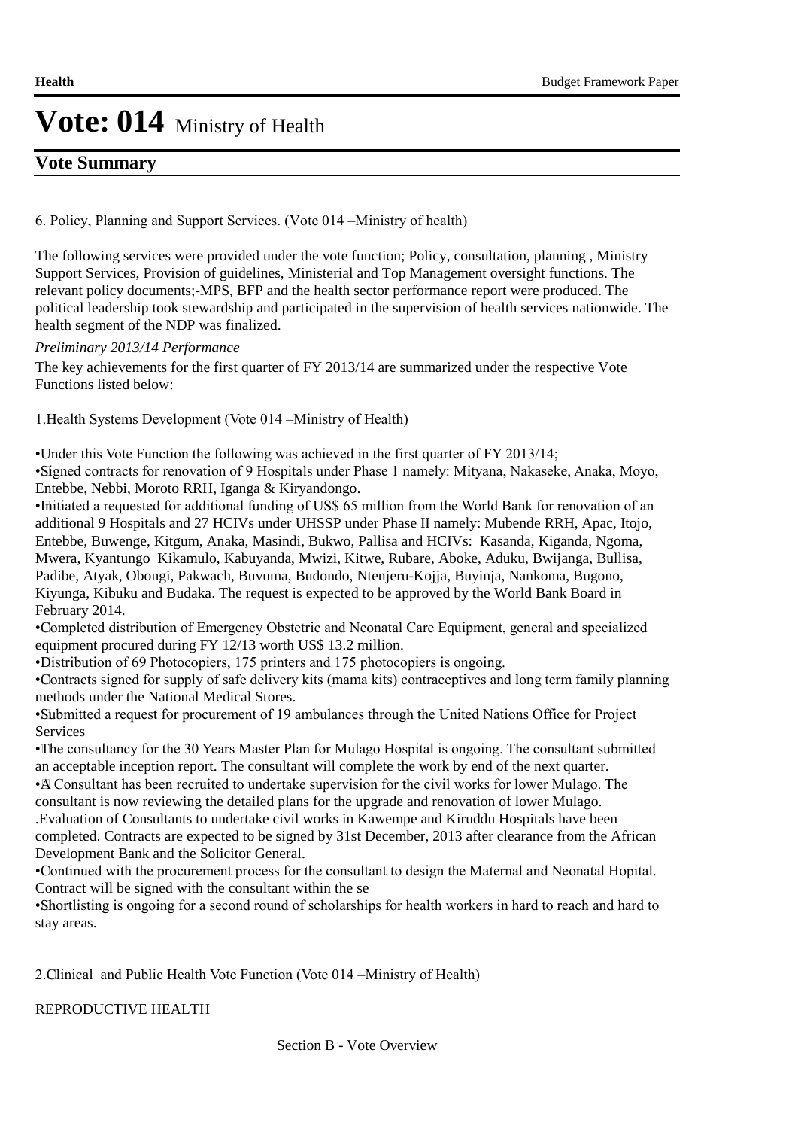### **Vote Summary**

6. Policy, Planning and Support Services. (Vote 014 –Ministry of health)

The following services were provided under the vote function; Policy, consultation, planning , Ministry Support Services, Provision of guidelines, Ministerial and Top Management oversight functions. The relevant policy documents;-MPS, BFP and the health sector performance report were produced. The political leadership took stewardship and participated in the supervision of health services nationwide. The health segment of the NDP was finalized.

#### *Preliminary 2013/14 Performance*

The key achievements for the first quarter of FY 2013/14 are summarized under the respective Vote Functions listed below:

1. Health Systems Development (Vote 014 – Ministry of Health)

• Under this Vote Function the following was achieved in the first quarter of FY 2013/14;

• Signed contracts for renovation of 9 Hospitals under Phase 1 namely: Mityana, Nakaseke, Anaka, Moyo, Entebbe, Nebbi, Moroto RRH, Iganga & Kiryandongo.

• Initiated a requested for additional funding of US\$ 65 million from the World Bank for renovation of an additional 9 Hospitals and 27 HCIVs under UHSSP under Phase II namely: Mubende RRH, Apac, Itojo, Entebbe, Buwenge, Kitgum, Anaka, Masindi, Bukwo, Pallisa and HCIVs: Kasanda, Kiganda, Ngoma, Mwera, Kyantungo Kikamulo, Kabuyanda, Mwizi, Kitwe, Rubare, Aboke, Aduku, Bwijanga, Bullisa, Padibe, Atyak, Obongi, Pakwach, Buvuma, Budondo, Ntenjeru-Kojja, Buyinja, Nankoma, Bugono, Kiyunga, Kibuku and Budaka. The request is expected to be approved by the World Bank Board in February 2014.

• Completed distribution of Emergency Obstetric and Neonatal Care Equipment, general and specialized equipment procured during FY 12/13 worth US\$ 13.2 million.

• Distribution of 69 Photocopiers, 175 printers and 175 photocopiers is ongoing.

• Contracts signed for supply of safe delivery kits (mama kits) contraceptives and long term family planning methods under the National Medical Stores.

• Submitted a request for procurement of 19 ambulances through the United Nations Office for Project **Services** 

• The consultancy for the 30 Years Master Plan for Mulago Hospital is ongoing. The consultant submitted an acceptable inception report. The consultant will complete the work by end of the next quarter.

• A Consultant has been recruited to undertake supervision for the civil works for lower Mulago. The consultant is now reviewing the detailed plans for the upgrade and renovation of lower Mulago.

. Evaluation of Consultants to undertake civil works in Kawempe and Kiruddu Hospitals have been completed. Contracts are expected to be signed by 31st December, 2013 after clearance from the African Development Bank and the Solicitor General.

• Continued with the procurement process for the consultant to design the Maternal and Neonatal Hopital. Contract will be signed with the consultant within the se

• Shortlisting is ongoing for a second round of scholarships for health workers in hard to reach and hard to stay areas.

2. Clinical and Public Health Vote Function (Vote 014 – Ministry of Health)

### REPRODUCTIVE HEALTH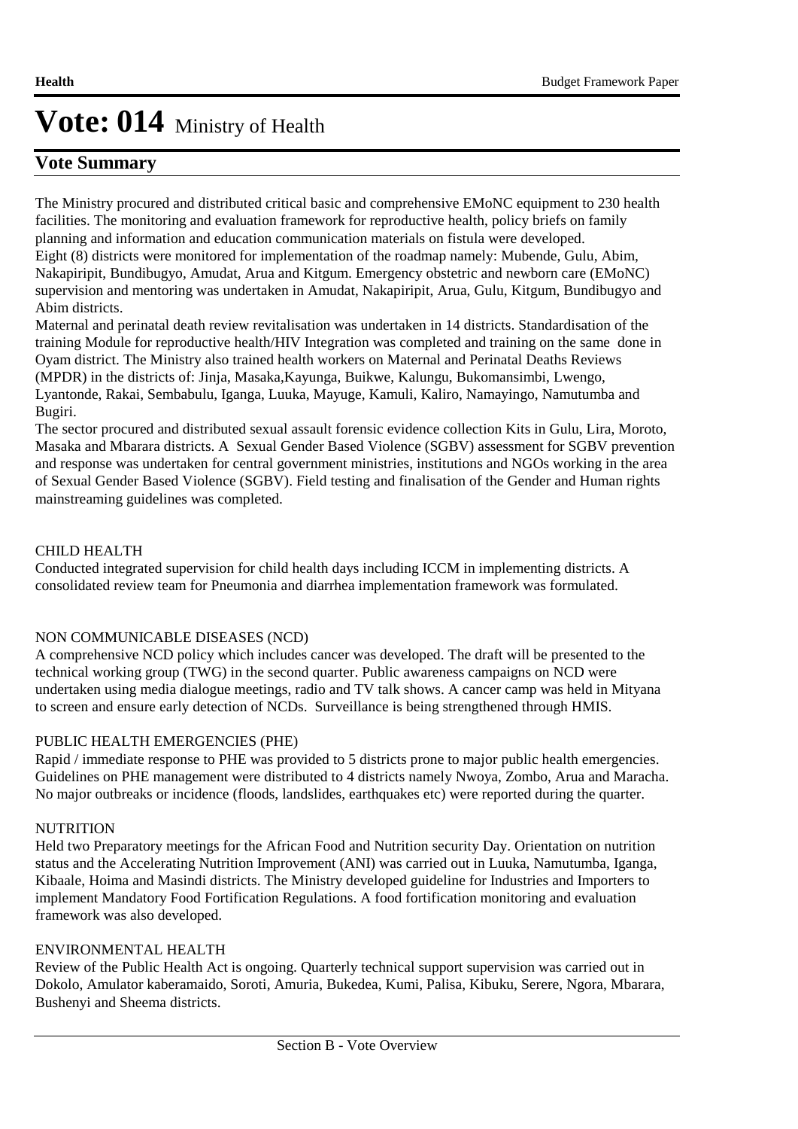### **Vote Summary**

The Ministry procured and distributed critical basic and comprehensive EMoNC equipment to 230 health facilities. The monitoring and evaluation framework for reproductive health, policy briefs on family planning and information and education communication materials on fistula were developed. Eight (8) districts were monitored for implementation of the roadmap namely: Mubende, Gulu, Abim, Nakapiripit, Bundibugyo, Amudat, Arua and Kitgum. Emergency obstetric and newborn care (EMoNC) supervision and mentoring was undertaken in Amudat, Nakapiripit, Arua, Gulu, Kitgum, Bundibugyo and Abim districts.

Maternal and perinatal death review revitalisation was undertaken in 14 districts. Standardisation of the training Module for reproductive health/HIV Integration was completed and training on the same done in Oyam district. The Ministry also trained health workers on Maternal and Perinatal Deaths Reviews (MPDR) in the districts of: Jinja, Masaka,Kayunga, Buikwe, Kalungu, Bukomansimbi, Lwengo, Lyantonde, Rakai, Sembabulu, Iganga, Luuka, Mayuge, Kamuli, Kaliro, Namayingo, Namutumba and Bugiri.

The sector procured and distributed sexual assault forensic evidence collection Kits in Gulu, Lira, Moroto, Masaka and Mbarara districts. A Sexual Gender Based Violence (SGBV) assessment for SGBV prevention and response was undertaken for central government ministries, institutions and NGOs working in the area of Sexual Gender Based Violence (SGBV). Field testing and finalisation of the Gender and Human rights mainstreaming guidelines was completed.

### CHILD HEALTH

Conducted integrated supervision for child health days including ICCM in implementing districts. A consolidated review team for Pneumonia and diarrhea implementation framework was formulated.

### NON COMMUNICABLE DISEASES (NCD)

A comprehensive NCD policy which includes cancer was developed. The draft will be presented to the technical working group (TWG) in the second quarter. Public awareness campaigns on NCD were undertaken using media dialogue meetings, radio and TV talk shows. A cancer camp was held in Mityana to screen and ensure early detection of NCDs. Surveillance is being strengthened through HMIS.

#### PUBLIC HEALTH EMERGENCIES (PHE)

Rapid / immediate response to PHE was provided to 5 districts prone to major public health emergencies. Guidelines on PHE management were distributed to 4 districts namely Nwoya, Zombo, Arua and Maracha. No major outbreaks or incidence (floods, landslides, earthquakes etc) were reported during the quarter.

#### **NUTRITION**

Held two Preparatory meetings for the African Food and Nutrition security Day. Orientation on nutrition status and the Accelerating Nutrition Improvement (ANI) was carried out in Luuka, Namutumba, Iganga, Kibaale, Hoima and Masindi districts. The Ministry developed guideline for Industries and Importers to implement Mandatory Food Fortification Regulations. A food fortification monitoring and evaluation framework was also developed.

#### ENVIRONMENTAL HEALTH

Review of the Public Health Act is ongoing. Quarterly technical support supervision was carried out in Dokolo, Amulator kaberamaido, Soroti, Amuria, Bukedea, Kumi, Palisa, Kibuku, Serere, Ngora, Mbarara, Bushenyi and Sheema districts.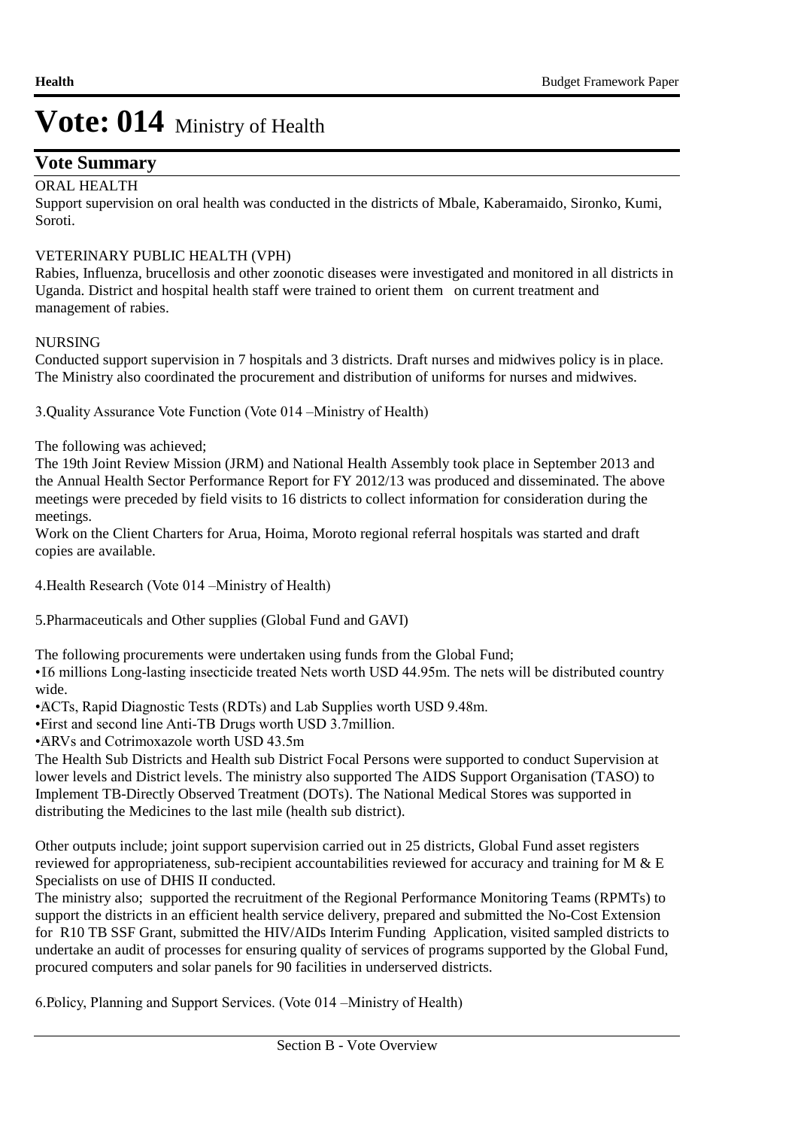### **Vote Summary**

### ORAL HEALTH

Support supervision on oral health was conducted in the districts of Mbale, Kaberamaido, Sironko, Kumi, Soroti.

### VETERINARY PUBLIC HEALTH (VPH)

Rabies, Influenza, brucellosis and other zoonotic diseases were investigated and monitored in all districts in Uganda. District and hospital health staff were trained to orient them on current treatment and management of rabies.

#### NURSING

Conducted support supervision in 7 hospitals and 3 districts. Draft nurses and midwives policy is in place. The Ministry also coordinated the procurement and distribution of uniforms for nurses and midwives.

3. Quality Assurance Vote Function (Vote 014 –Ministry of Health)

The following was achieved;

The 19th Joint Review Mission (JRM) and National Health Assembly took place in September 2013 and the Annual Health Sector Performance Report for FY 2012/13 was produced and disseminated. The above meetings were preceded by field visits to 16 districts to collect information for consideration during the meetings.

Work on the Client Charters for Arua, Hoima, Moroto regional referral hospitals was started and draft copies are available.

4. Health Research (Vote 014 – Ministry of Health)

5. Pharmaceuticals and Other supplies (Global Fund and GAVI)

The following procurements were undertaken using funds from the Global Fund;

• 16 millions Long-lasting insecticide treated Nets worth USD 44.95m. The nets will be distributed country wide.

• ACTs, Rapid Diagnostic Tests (RDTs) and Lab Supplies worth USD 9.48m.

• First and second line Anti-TB Drugs worth USD 3.7million.

• ARVs and Cotrimoxazole worth USD 43.5m

The Health Sub Districts and Health sub District Focal Persons were supported to conduct Supervision at lower levels and District levels. The ministry also supported The AIDS Support Organisation (TASO) to Implement TB-Directly Observed Treatment (DOTs). The National Medical Stores was supported in distributing the Medicines to the last mile (health sub district).

Other outputs include; joint support supervision carried out in 25 districts, Global Fund asset registers reviewed for appropriateness, sub-recipient accountabilities reviewed for accuracy and training for M & E Specialists on use of DHIS II conducted.

The ministry also; supported the recruitment of the Regional Performance Monitoring Teams (RPMTs) to support the districts in an efficient health service delivery, prepared and submitted the No-Cost Extension for R10 TB SSF Grant, submitted the HIV/AIDs Interim Funding Application, visited sampled districts to undertake an audit of processes for ensuring quality of services of programs supported by the Global Fund, procured computers and solar panels for 90 facilities in underserved districts.

6. Policy, Planning and Support Services. (Vote 014 –Ministry of Health)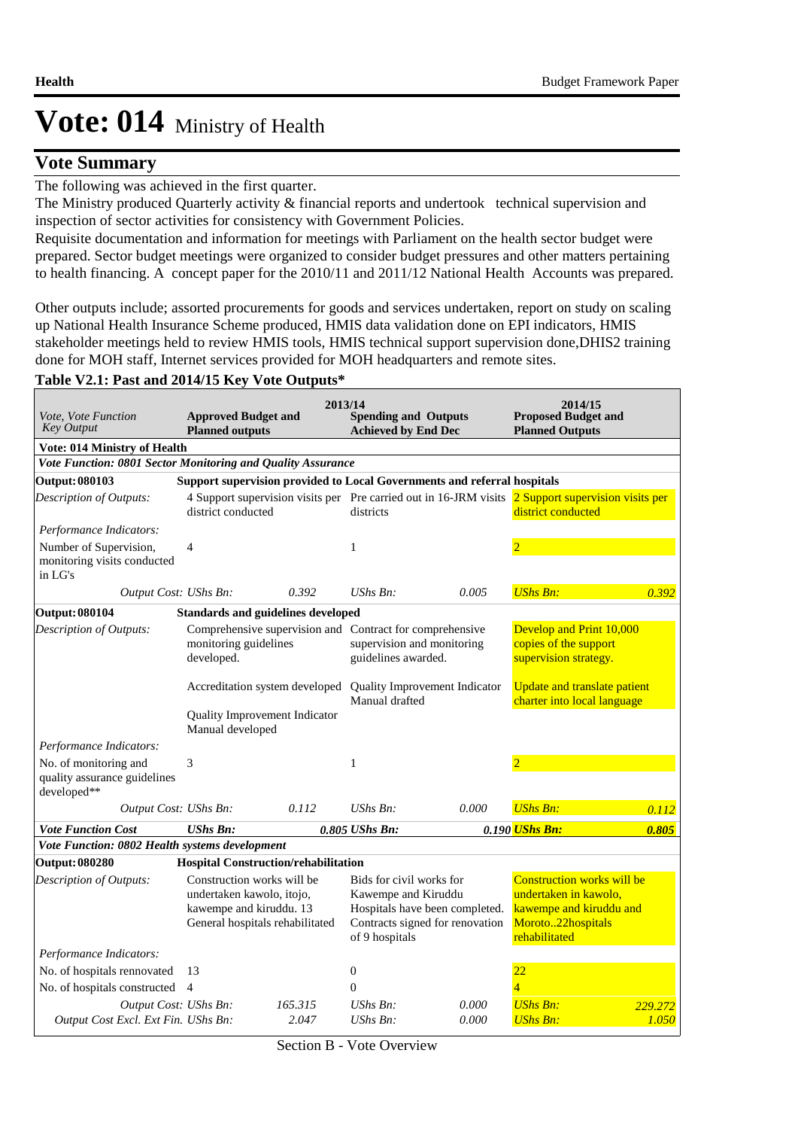### **Vote Summary**

The following was achieved in the first quarter.

The Ministry produced Quarterly activity & financial reports and undertook technical supervision and inspection of sector activities for consistency with Government Policies.

Requisite documentation and information for meetings with Parliament on the health sector budget were prepared. Sector budget meetings were organized to consider budget pressures and other matters pertaining to health financing. A concept paper for the 2010/11 and 2011/12 National Health Accounts was prepared.

Other outputs include; assorted procurements for goods and services undertaken, report on study on scaling up National Health Insurance Scheme produced, HMIS data validation done on EPI indicators, HMIS stakeholder meetings held to review HMIS tools, HMIS technical support supervision done,DHIS2 training done for MOH staff, Internet services provided for MOH headquarters and remote sites.

#### **Table V2.1: Past and 2014/15 Key Vote Outputs\***

| <i>Vote, Vote Function</i><br>Key Output                             | <b>Approved Budget and</b><br><b>Planned outputs</b>                                                                  |                  | 2013/14<br><b>Spending and Outputs</b><br><b>Achieved by End Dec</b> |                                                                          | 2014/15<br><b>Proposed Budget and</b><br><b>Planned Outputs</b>                                                             |                  |
|----------------------------------------------------------------------|-----------------------------------------------------------------------------------------------------------------------|------------------|----------------------------------------------------------------------|--------------------------------------------------------------------------|-----------------------------------------------------------------------------------------------------------------------------|------------------|
| Vote: 014 Ministry of Health                                         |                                                                                                                       |                  |                                                                      |                                                                          |                                                                                                                             |                  |
| Vote Function: 0801 Sector Monitoring and Quality Assurance          |                                                                                                                       |                  |                                                                      |                                                                          |                                                                                                                             |                  |
| <b>Output: 080103</b>                                                |                                                                                                                       |                  |                                                                      | Support supervision provided to Local Governments and referral hospitals |                                                                                                                             |                  |
| Description of Outputs:                                              | district conducted                                                                                                    |                  | districts                                                            |                                                                          | 4 Support supervision visits per Pre carried out in 16-JRM visits 2 Support supervision visits per<br>district conducted    |                  |
| Performance Indicators:                                              |                                                                                                                       |                  |                                                                      |                                                                          |                                                                                                                             |                  |
| Number of Supervision,<br>monitoring visits conducted<br>in LG's     | $\overline{4}$                                                                                                        |                  | $\mathbf{1}$                                                         |                                                                          |                                                                                                                             |                  |
| Output Cost: UShs Bn:                                                |                                                                                                                       | 0.392            | $UShs Bn$ :                                                          | 0.005                                                                    | <b>UShs Bn:</b>                                                                                                             | 0.392            |
| <b>Output: 080104</b>                                                | <b>Standards and guidelines developed</b>                                                                             |                  |                                                                      |                                                                          |                                                                                                                             |                  |
| Description of Outputs:                                              | Comprehensive supervision and Contract for comprehensive<br>monitoring guidelines<br>developed.                       |                  | supervision and monitoring<br>guidelines awarded.                    |                                                                          | Develop and Print 10,000<br>copies of the support<br>supervision strategy.                                                  |                  |
|                                                                      | Accreditation system developed                                                                                        |                  | Manual drafted                                                       | Quality Improvement Indicator                                            | <b>Update and translate patient</b><br>charter into local language                                                          |                  |
|                                                                      | Quality Improvement Indicator<br>Manual developed                                                                     |                  |                                                                      |                                                                          |                                                                                                                             |                  |
| Performance Indicators:                                              |                                                                                                                       |                  |                                                                      |                                                                          |                                                                                                                             |                  |
| No. of monitoring and<br>quality assurance guidelines<br>developed** | 3                                                                                                                     |                  | $\mathbf{1}$                                                         |                                                                          | $\overline{2}$                                                                                                              |                  |
| Output Cost: UShs Bn:                                                |                                                                                                                       | 0.112            | $UShs Bn$ :                                                          | 0.000                                                                    | <b>UShs Bn:</b>                                                                                                             | 0.112            |
| <b>Vote Function Cost</b>                                            | <b>UShs Bn:</b>                                                                                                       |                  | 0.805 UShs Bn:                                                       |                                                                          | 0.190 UShs Bn:                                                                                                              | 0.805            |
| Vote Function: 0802 Health systems development                       |                                                                                                                       |                  |                                                                      |                                                                          |                                                                                                                             |                  |
| <b>Output: 080280</b>                                                | <b>Hospital Construction/rehabilitation</b>                                                                           |                  |                                                                      |                                                                          |                                                                                                                             |                  |
| Description of Outputs:                                              | Construction works will be<br>undertaken kawolo, itojo,<br>kawempe and kiruddu. 13<br>General hospitals rehabilitated |                  | Bids for civil works for<br>Kawempe and Kiruddu<br>of 9 hospitals    | Hospitals have been completed.<br>Contracts signed for renovation        | <b>Construction works will be</b><br>undertaken in kawolo,<br>kawempe and kiruddu and<br>Moroto22hospitals<br>rehabilitated |                  |
| Performance Indicators:                                              |                                                                                                                       |                  |                                                                      |                                                                          |                                                                                                                             |                  |
| No. of hospitals rennovated                                          | 13                                                                                                                    |                  | $\boldsymbol{0}$                                                     |                                                                          | 22                                                                                                                          |                  |
| No. of hospitals constructed 4                                       |                                                                                                                       |                  | $\theta$                                                             |                                                                          | $\overline{4}$                                                                                                              |                  |
| Output Cost: UShs Bn:<br>Output Cost Excl. Ext Fin. UShs Bn:         |                                                                                                                       | 165.315<br>2.047 | $UShs Bn$ :<br>UShs Bn:                                              | 0.000<br>0.000                                                           | <b>UShs Bn:</b><br><b>UShs Bn:</b>                                                                                          | 229.272<br>1.050 |

Section B - Vote Overview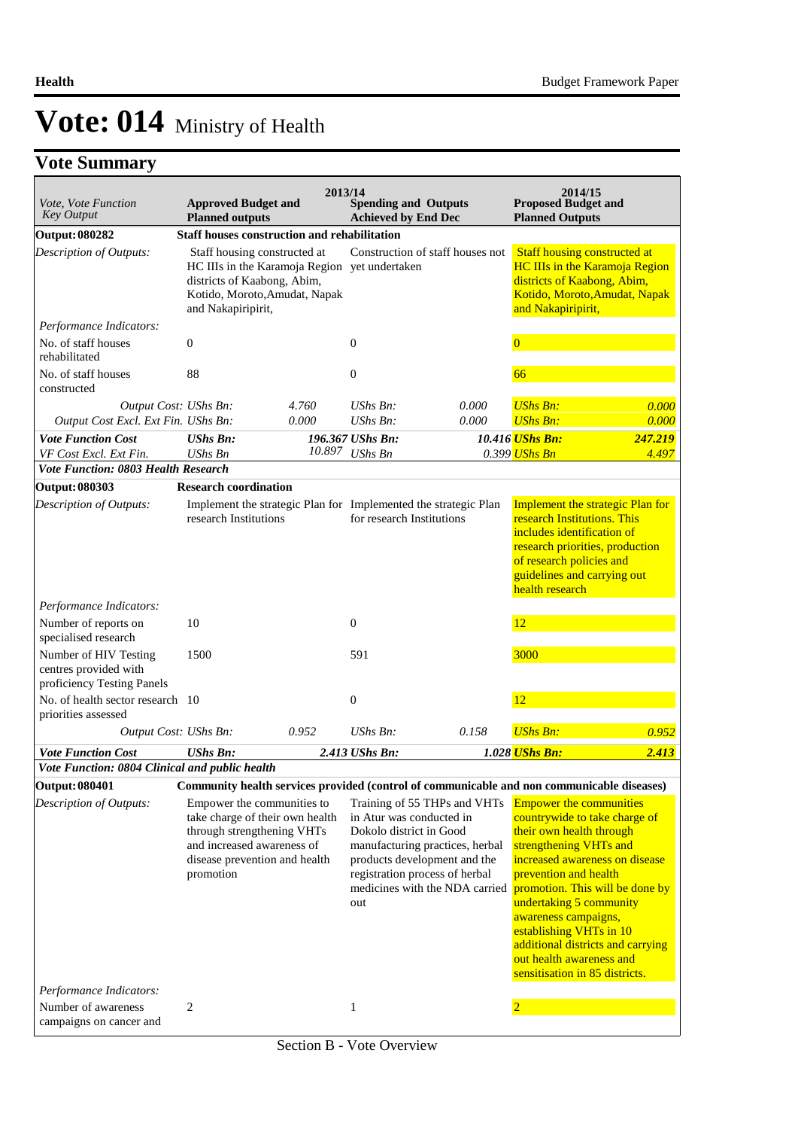| Vote, Vote Function<br><b>Key Output</b>                                     | <b>Approved Budget and</b><br><b>Planned outputs</b>                                                                                                                    | 2013/14 | <b>Spending and Outputs</b><br><b>Achieved by End Dec</b>                                                                    |                                                                                                   | 2014/15<br><b>Proposed Budget and</b><br><b>Planned Outputs</b>                                                                                                                                                                                                                                                                                                                                      |         |
|------------------------------------------------------------------------------|-------------------------------------------------------------------------------------------------------------------------------------------------------------------------|---------|------------------------------------------------------------------------------------------------------------------------------|---------------------------------------------------------------------------------------------------|------------------------------------------------------------------------------------------------------------------------------------------------------------------------------------------------------------------------------------------------------------------------------------------------------------------------------------------------------------------------------------------------------|---------|
| <b>Output: 080282</b>                                                        | Staff houses construction and rehabilitation                                                                                                                            |         |                                                                                                                              |                                                                                                   |                                                                                                                                                                                                                                                                                                                                                                                                      |         |
| <b>Description of Outputs:</b><br>Performance Indicators:                    | Staff housing constructed at<br>HC IIIs in the Karamoja Region yet undertaken<br>districts of Kaabong, Abim,<br>Kotido, Moroto, Amudat, Napak<br>and Nakapiripirit,     |         |                                                                                                                              | Construction of staff houses not                                                                  | <b>Staff housing constructed at</b><br><b>HC IIIs in the Karamoja Region</b><br>districts of Kaabong, Abim,<br>Kotido, Moroto, Amudat, Napak<br>and Nakapiripirit,                                                                                                                                                                                                                                   |         |
|                                                                              |                                                                                                                                                                         |         |                                                                                                                              |                                                                                                   |                                                                                                                                                                                                                                                                                                                                                                                                      |         |
| No. of staff houses<br>rehabilitated                                         | $\boldsymbol{0}$                                                                                                                                                        |         | $\boldsymbol{0}$                                                                                                             |                                                                                                   | $\overline{0}$                                                                                                                                                                                                                                                                                                                                                                                       |         |
| No. of staff houses<br>constructed                                           | 88                                                                                                                                                                      |         | $\boldsymbol{0}$                                                                                                             |                                                                                                   | 66                                                                                                                                                                                                                                                                                                                                                                                                   |         |
| Output Cost: UShs Bn:                                                        |                                                                                                                                                                         | 4.760   | $UShs Bn$ :                                                                                                                  | 0.000                                                                                             | <b>UShs Bn:</b>                                                                                                                                                                                                                                                                                                                                                                                      | 0.000   |
| Output Cost Excl. Ext Fin. UShs Bn:                                          |                                                                                                                                                                         | 0.000   | UShs Bn:                                                                                                                     | 0.000                                                                                             | <b>UShs Bn:</b>                                                                                                                                                                                                                                                                                                                                                                                      | 0.000   |
| <b>Vote Function Cost</b>                                                    | <b>UShs Bn:</b>                                                                                                                                                         |         | 196.367 UShs Bn:                                                                                                             |                                                                                                   | 10.416 UShs Bn:                                                                                                                                                                                                                                                                                                                                                                                      | 247.219 |
| VF Cost Excl. Ext Fin.                                                       | UShs Bn                                                                                                                                                                 | 10.897  | <b>UShs Bn</b>                                                                                                               |                                                                                                   | 0.399 UShs Bn                                                                                                                                                                                                                                                                                                                                                                                        | 4.497   |
| <b>Vote Function: 0803 Health Research</b>                                   |                                                                                                                                                                         |         |                                                                                                                              |                                                                                                   |                                                                                                                                                                                                                                                                                                                                                                                                      |         |
| <b>Output: 080303</b>                                                        | <b>Research coordination</b>                                                                                                                                            |         |                                                                                                                              |                                                                                                   |                                                                                                                                                                                                                                                                                                                                                                                                      |         |
| Description of Outputs:                                                      | Implement the strategic Plan for Implemented the strategic Plan<br>research Institutions                                                                                |         | for research Institutions                                                                                                    |                                                                                                   | <b>Implement the strategic Plan for</b><br>research Institutions. This<br>includes identification of<br>research priorities, production<br>of research policies and<br>guidelines and carrying out<br>health research                                                                                                                                                                                |         |
| Performance Indicators:                                                      |                                                                                                                                                                         |         |                                                                                                                              |                                                                                                   |                                                                                                                                                                                                                                                                                                                                                                                                      |         |
| Number of reports on<br>specialised research                                 | 10                                                                                                                                                                      |         | $\boldsymbol{0}$                                                                                                             |                                                                                                   | 12                                                                                                                                                                                                                                                                                                                                                                                                   |         |
| Number of HIV Testing<br>centres provided with<br>proficiency Testing Panels | 1500                                                                                                                                                                    |         | 591                                                                                                                          |                                                                                                   | 3000                                                                                                                                                                                                                                                                                                                                                                                                 |         |
| No. of health sector research 10<br>priorities assessed                      |                                                                                                                                                                         |         | $\boldsymbol{0}$                                                                                                             |                                                                                                   | 12                                                                                                                                                                                                                                                                                                                                                                                                   |         |
| Output Cost: UShs Bn:                                                        |                                                                                                                                                                         | 0.952   | $UShs Bn$ :                                                                                                                  | 0.158                                                                                             | <b>UShs Bn:</b>                                                                                                                                                                                                                                                                                                                                                                                      | 0.952   |
| <b>Vote Function Cost</b>                                                    | <b>UShs Bn:</b>                                                                                                                                                         |         | 2.413 UShs Bn:                                                                                                               |                                                                                                   | 1.028 UShs Bn:                                                                                                                                                                                                                                                                                                                                                                                       | 2.413   |
| Vote Function: 0804 Clinical and public health                               |                                                                                                                                                                         |         |                                                                                                                              |                                                                                                   |                                                                                                                                                                                                                                                                                                                                                                                                      |         |
| Output: 080401                                                               | Community health services provided (control of communicable and non communicable diseases)                                                                              |         |                                                                                                                              |                                                                                                   |                                                                                                                                                                                                                                                                                                                                                                                                      |         |
| <b>Description of Outputs:</b><br>Performance Indicators:                    | Empower the communities to<br>take charge of their own health<br>through strengthening VHTs<br>and increased awareness of<br>disease prevention and health<br>promotion |         | in Atur was conducted in<br>Dokolo district in Good<br>products development and the<br>registration process of herbal<br>out | Training of 55 THPs and VHTs<br>manufacturing practices, herbal<br>medicines with the NDA carried | <b>Empower the communities</b><br>countrywide to take charge of<br>their own health through<br>strengthening VHTs and<br>increased awareness on disease<br>prevention and health<br>promotion. This will be done by<br>undertaking 5 community<br>awareness campaigns,<br>establishing VHTs in 10<br>additional districts and carrying<br>out health awareness and<br>sensitisation in 85 districts. |         |
| Number of awareness                                                          | 2                                                                                                                                                                       |         | 1                                                                                                                            |                                                                                                   |                                                                                                                                                                                                                                                                                                                                                                                                      |         |
| campaigns on cancer and                                                      |                                                                                                                                                                         |         |                                                                                                                              |                                                                                                   |                                                                                                                                                                                                                                                                                                                                                                                                      |         |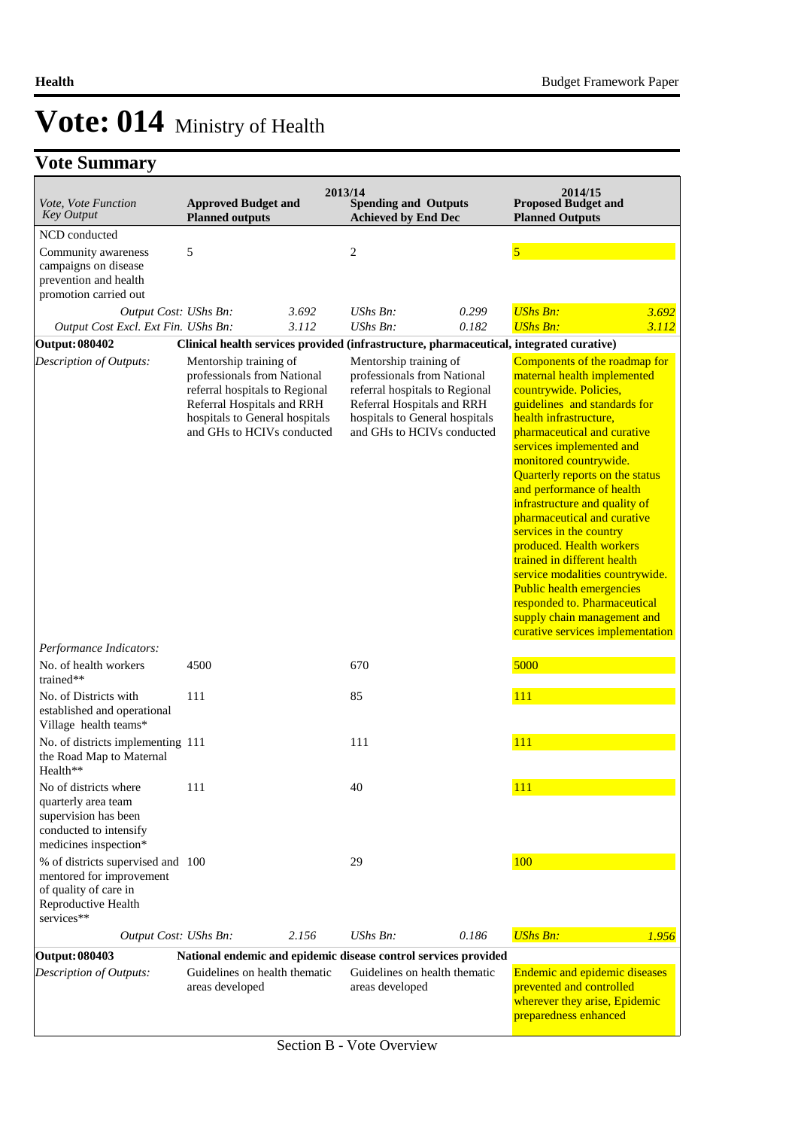| Vote, Vote Function<br><b>Key Output</b>                                                                                    | <b>Approved Budget and</b><br><b>Planned outputs</b>                                                                                                                                  | 2013/14 | <b>Spending and Outputs</b><br><b>Achieved by End Dec</b>                                                                                                                             |       | 2014/15<br><b>Proposed Budget and</b><br><b>Planned Outputs</b>                                                                                                                                                                                                                                                                                                                                                                                                                                                                                                                                                                |
|-----------------------------------------------------------------------------------------------------------------------------|---------------------------------------------------------------------------------------------------------------------------------------------------------------------------------------|---------|---------------------------------------------------------------------------------------------------------------------------------------------------------------------------------------|-------|--------------------------------------------------------------------------------------------------------------------------------------------------------------------------------------------------------------------------------------------------------------------------------------------------------------------------------------------------------------------------------------------------------------------------------------------------------------------------------------------------------------------------------------------------------------------------------------------------------------------------------|
| NCD conducted                                                                                                               |                                                                                                                                                                                       |         |                                                                                                                                                                                       |       |                                                                                                                                                                                                                                                                                                                                                                                                                                                                                                                                                                                                                                |
| Community awareness<br>campaigns on disease<br>prevention and health<br>promotion carried out                               | 5                                                                                                                                                                                     |         | $\overline{c}$                                                                                                                                                                        |       | $\overline{\mathbf{5}}$                                                                                                                                                                                                                                                                                                                                                                                                                                                                                                                                                                                                        |
| Output Cost: UShs Bn:                                                                                                       |                                                                                                                                                                                       | 3.692   | $UShs Bn$ :                                                                                                                                                                           | 0.299 | <b>UShs Bn:</b><br>3.692                                                                                                                                                                                                                                                                                                                                                                                                                                                                                                                                                                                                       |
| Output Cost Excl. Ext Fin. UShs Bn:                                                                                         |                                                                                                                                                                                       | 3.112   | $UShs Bn$ :                                                                                                                                                                           | 0.182 | <b>UShs Bn:</b><br>3.112                                                                                                                                                                                                                                                                                                                                                                                                                                                                                                                                                                                                       |
| <b>Output: 080402</b>                                                                                                       |                                                                                                                                                                                       |         | Clinical health services provided (infrastructure, pharmaceutical, integrated curative)                                                                                               |       |                                                                                                                                                                                                                                                                                                                                                                                                                                                                                                                                                                                                                                |
| <b>Description of Outputs:</b>                                                                                              | Mentorship training of<br>professionals from National<br>referral hospitals to Regional<br>Referral Hospitals and RRH<br>hospitals to General hospitals<br>and GHs to HCIVs conducted |         | Mentorship training of<br>professionals from National<br>referral hospitals to Regional<br>Referral Hospitals and RRH<br>hospitals to General hospitals<br>and GHs to HCIVs conducted |       | Components of the roadmap for<br>maternal health implemented<br>countrywide. Policies,<br>guidelines and standards for<br>health infrastructure,<br>pharmaceutical and curative<br>services implemented and<br>monitored countrywide.<br>Quarterly reports on the status<br>and performance of health<br>infrastructure and quality of<br>pharmaceutical and curative<br>services in the country<br>produced. Health workers<br>trained in different health<br>service modalities countrywide.<br>Public health emergencies<br>responded to. Pharmaceutical<br>supply chain management and<br>curative services implementation |
| Performance Indicators:<br>No. of health workers                                                                            | 4500                                                                                                                                                                                  |         | 670                                                                                                                                                                                   |       | 5000                                                                                                                                                                                                                                                                                                                                                                                                                                                                                                                                                                                                                           |
| trained**                                                                                                                   |                                                                                                                                                                                       |         |                                                                                                                                                                                       |       |                                                                                                                                                                                                                                                                                                                                                                                                                                                                                                                                                                                                                                |
| No. of Districts with<br>established and operational<br>Village health teams*                                               | 111                                                                                                                                                                                   |         | 85                                                                                                                                                                                    |       | 111                                                                                                                                                                                                                                                                                                                                                                                                                                                                                                                                                                                                                            |
| No. of districts implementing 111<br>the Road Map to Maternal<br>Health**                                                   |                                                                                                                                                                                       |         | 111                                                                                                                                                                                   |       | 111                                                                                                                                                                                                                                                                                                                                                                                                                                                                                                                                                                                                                            |
| No of districts where<br>quarterly area team<br>supervision has been<br>conducted to intensify<br>medicines inspection*     | 111                                                                                                                                                                                   |         | 40                                                                                                                                                                                    |       | 111                                                                                                                                                                                                                                                                                                                                                                                                                                                                                                                                                                                                                            |
| % of districts supervised and 100<br>mentored for improvement<br>of quality of care in<br>Reproductive Health<br>services** |                                                                                                                                                                                       |         | 29                                                                                                                                                                                    |       | 100                                                                                                                                                                                                                                                                                                                                                                                                                                                                                                                                                                                                                            |
| Output Cost: UShs Bn:                                                                                                       |                                                                                                                                                                                       | 2.156   | $UShs Bn$ :                                                                                                                                                                           | 0.186 | <b>UShs Bn:</b><br>1.956                                                                                                                                                                                                                                                                                                                                                                                                                                                                                                                                                                                                       |
| <b>Output: 080403</b>                                                                                                       |                                                                                                                                                                                       |         | National endemic and epidemic disease control services provided                                                                                                                       |       |                                                                                                                                                                                                                                                                                                                                                                                                                                                                                                                                                                                                                                |
| Description of Outputs:                                                                                                     | Guidelines on health thematic<br>areas developed                                                                                                                                      |         | Guidelines on health thematic<br>areas developed                                                                                                                                      |       | <b>Endemic and epidemic diseases</b><br>prevented and controlled<br>wherever they arise, Epidemic<br>preparedness enhanced                                                                                                                                                                                                                                                                                                                                                                                                                                                                                                     |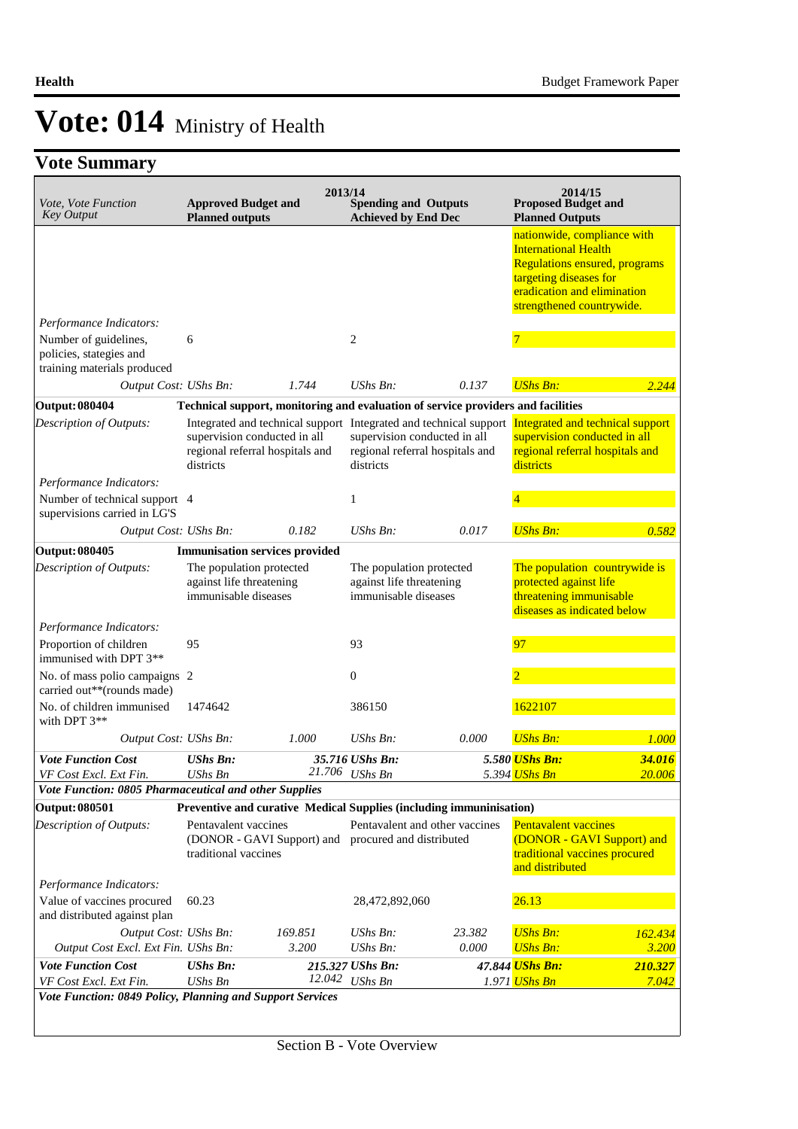| Vote, Vote Function<br><b>Key Output</b>                      | <b>Approved Budget and</b><br><b>Planned outputs</b>                                                                                              | 2013/14 | <b>Spending and Outputs</b><br><b>Achieved by End Dec</b>                    |                                | 2014/15<br><b>Proposed Budget and</b><br><b>Planned Outputs</b>                                                                                                                          |                  |
|---------------------------------------------------------------|---------------------------------------------------------------------------------------------------------------------------------------------------|---------|------------------------------------------------------------------------------|--------------------------------|------------------------------------------------------------------------------------------------------------------------------------------------------------------------------------------|------------------|
|                                                               |                                                                                                                                                   |         |                                                                              |                                | nationwide, compliance with<br><b>International Health</b><br><b>Regulations ensured, programs</b><br>targeting diseases for<br>eradication and elimination<br>strengthened countrywide. |                  |
| Performance Indicators:<br>Number of guidelines,              | 6                                                                                                                                                 |         | 2                                                                            |                                | 7                                                                                                                                                                                        |                  |
| policies, stategies and<br>training materials produced        |                                                                                                                                                   |         |                                                                              |                                |                                                                                                                                                                                          |                  |
| Output Cost: UShs Bn:                                         |                                                                                                                                                   | 1.744   | $UShs Bn$ :                                                                  | 0.137                          | <b>UShs Bn:</b>                                                                                                                                                                          | 2.244            |
| <b>Output: 080404</b>                                         | Technical support, monitoring and evaluation of service providers and facilities                                                                  |         |                                                                              |                                |                                                                                                                                                                                          |                  |
| Description of Outputs:                                       | Integrated and technical support Integrated and technical support<br>supervision conducted in all<br>regional referral hospitals and<br>districts |         | supervision conducted in all<br>regional referral hospitals and<br>districts |                                | Integrated and technical support<br>supervision conducted in all<br>regional referral hospitals and<br>districts                                                                         |                  |
| Performance Indicators:                                       |                                                                                                                                                   |         |                                                                              |                                |                                                                                                                                                                                          |                  |
| Number of technical support 4<br>supervisions carried in LG'S |                                                                                                                                                   |         | $\mathbf{1}$                                                                 |                                |                                                                                                                                                                                          |                  |
| Output Cost: UShs Bn:                                         |                                                                                                                                                   | 0.182   | UShs Bn:                                                                     | 0.017                          | <b>UShs Bn:</b>                                                                                                                                                                          | 0.582            |
| <b>Output: 080405</b>                                         | <b>Immunisation services provided</b>                                                                                                             |         |                                                                              |                                |                                                                                                                                                                                          |                  |
| Description of Outputs:                                       | The population protected<br>against life threatening<br>immunisable diseases                                                                      |         | The population protected<br>against life threatening<br>immunisable diseases |                                | The population countrywide is<br>protected against life<br>threatening immunisable<br>diseases as indicated below                                                                        |                  |
| Performance Indicators:                                       |                                                                                                                                                   |         |                                                                              |                                |                                                                                                                                                                                          |                  |
| Proportion of children<br>immunised with DPT 3**              | 95                                                                                                                                                |         | 93                                                                           |                                | 97                                                                                                                                                                                       |                  |
| No. of mass polio campaigns 2<br>carried out**(rounds made)   |                                                                                                                                                   |         | $\boldsymbol{0}$                                                             |                                |                                                                                                                                                                                          |                  |
| No. of children immunised<br>with DPT 3**                     | 1474642                                                                                                                                           |         | 386150                                                                       |                                | 1622107                                                                                                                                                                                  |                  |
| Output Cost: UShs Bn:                                         |                                                                                                                                                   | 1.000   | UShs Bn:                                                                     | 0.000                          | <b>UShs Bn:</b>                                                                                                                                                                          | 1.000            |
| <b>Vote Function Cost</b><br>VF Cost Excl. Ext Fin.           | <b>UShs Bn:</b><br>$UShs$ $Bn$                                                                                                                    |         | 35.716 UShs Bn:<br>21.706 UShs Bn                                            |                                | 5.580 UShs Bn:<br>5.394 <mark>UShs Bn</mark>                                                                                                                                             | 34.016<br>20.006 |
| Vote Function: 0805 Pharmaceutical and other Supplies         |                                                                                                                                                   |         |                                                                              |                                |                                                                                                                                                                                          |                  |
| <b>Output: 080501</b>                                         | Preventive and curative Medical Supplies (including immuninisation)                                                                               |         |                                                                              |                                |                                                                                                                                                                                          |                  |
| Description of Outputs:<br>Performance Indicators:            | Pentavalent vaccines<br>(DONOR - GAVI Support) and<br>traditional vaccines                                                                        |         | procured and distributed                                                     | Pentavalent and other vaccines | <b>Pentavalent vaccines</b><br>(DONOR - GAVI Support) and<br>traditional vaccines procured<br>and distributed                                                                            |                  |
| Value of vaccines procured<br>and distributed against plan    | 60.23                                                                                                                                             |         | 28,472,892,060                                                               |                                | 26.13                                                                                                                                                                                    |                  |
| Output Cost: UShs Bn:                                         |                                                                                                                                                   | 169.851 | UShs Bn:                                                                     | 23.382                         | <b>UShs Bn:</b>                                                                                                                                                                          | 162.434          |
| Output Cost Excl. Ext Fin. UShs Bn:                           |                                                                                                                                                   | 3.200   | <b>UShs Bn:</b>                                                              | 0.000                          | <b>UShs Bn:</b>                                                                                                                                                                          | 3.200            |
| <b>Vote Function Cost</b><br>VF Cost Excl. Ext Fin.           | <b>UShs Bn:</b><br><b>UShs Bn</b>                                                                                                                 | 12.042  | 215.327 UShs Bn:<br><b>UShs Bn</b>                                           |                                | 47.844 <mark>UShs Bn:</mark><br>1.971 <mark>UShs Bn</mark>                                                                                                                               | 210.327<br>7.042 |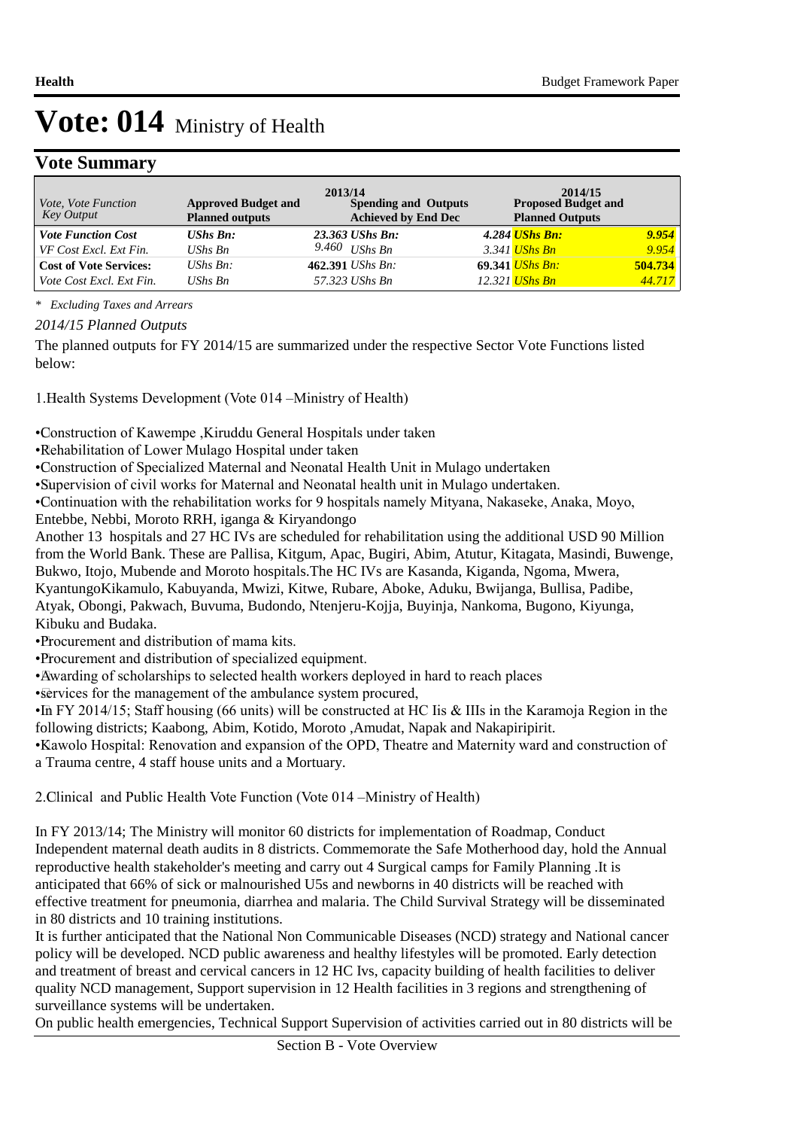### **Vote Summary**

| Vote, Vote Function<br>Key Output | <b>Approved Budget and</b><br><b>Planned outputs</b> | 2013/14<br><b>Spending and Outputs</b><br><b>Achieved by End Dec</b> | 2014/15<br><b>Proposed Budget and</b><br><b>Planned Outputs</b> |         |
|-----------------------------------|------------------------------------------------------|----------------------------------------------------------------------|-----------------------------------------------------------------|---------|
| <b>Vote Function Cost</b>         | $UShs Bn$ :                                          | 23.363 UShs Bn:                                                      | 4.284 UShs Bn:                                                  | 9.954   |
| VF Cost Excl. Ext Fin.            | UShs Bn                                              | 9.460 UShs Bn                                                        | 3.341 <i>UShs Bn</i>                                            | 9.954   |
| <b>Cost of Vote Services:</b>     | $UShs Bn$ :                                          | 462.391 <i>UShs Bn</i> :                                             | 69.341 <i>UShs Bn:</i>                                          | 504.734 |
| Vote Cost Excl. Ext Fin.          | $UShs Bn$                                            | 57.323 UShs Bn                                                       | 12.321 <i>UShs Bn</i>                                           | 44.717  |

*\* Excluding Taxes and Arrears*

*2014/15 Planned Outputs*

The planned outputs for FY 2014/15 are summarized under the respective Sector Vote Functions listed below:

1. Health Systems Development (Vote 014 – Ministry of Health)

• Construction of Kawempe ,Kiruddu General Hospitals under taken

• Rehabilitation of Lower Mulago Hospital under taken

• Construction of Specialized Maternal and Neonatal Health Unit in Mulago undertaken

• Supervision of civil works for Maternal and Neonatal health unit in Mulago undertaken.

• Continuation with the rehabilitation works for 9 hospitals namely Mityana, Nakaseke, Anaka, Moyo,

Entebbe, Nebbi, Moroto RRH, iganga & Kiryandongo

Another 13 hospitals and 27 HC IVs are scheduled for rehabilitation using the additional USD 90 Million from the World Bank. These are Pallisa, Kitgum, Apac, Bugiri, Abim, Atutur, Kitagata, Masindi, Buwenge,

Bukwo, Itojo, Mubende and Moroto hospitals.The HC IVs are Kasanda, Kiganda, Ngoma, Mwera,

KyantungoKikamulo, Kabuyanda, Mwizi, Kitwe, Rubare, Aboke, Aduku, Bwijanga, Bullisa, Padibe,

Atyak, Obongi, Pakwach, Buvuma, Budondo, Ntenjeru-Kojja, Buyinja, Nankoma, Bugono, Kiyunga, Kibuku and Budaka.

• Procurement and distribution of mama kits.

• Procurement and distribution of specialized equipment.

• Awarding of scholarships to selected health workers deployed in hard to reach places

• services for the management of the ambulance system procured,

• In FY 2014/15; Staff housing (66 units) will be constructed at HC Iis & IIIs in the Karamoja Region in the following districts; Kaabong, Abim, Kotido, Moroto ,Amudat, Napak and Nakapiripirit.

• Kawolo Hospital: Renovation and expansion of the OPD, Theatre and Maternity ward and construction of a Trauma centre, 4 staff house units and a Mortuary.

2. Clinical and Public Health Vote Function (Vote 014 – Ministry of Health)

In FY 2013/14; The Ministry will monitor 60 districts for implementation of Roadmap, Conduct Independent maternal death audits in 8 districts. Commemorate the Safe Motherhood day, hold the Annual reproductive health stakeholder's meeting and carry out 4 Surgical camps for Family Planning .It is anticipated that 66% of sick or malnourished U5s and newborns in 40 districts will be reached with effective treatment for pneumonia, diarrhea and malaria. The Child Survival Strategy will be disseminated in 80 districts and 10 training institutions.

It is further anticipated that the National Non Communicable Diseases (NCD) strategy and National cancer policy will be developed. NCD public awareness and healthy lifestyles will be promoted. Early detection and treatment of breast and cervical cancers in 12 HC Ivs, capacity building of health facilities to deliver quality NCD management, Support supervision in 12 Health facilities in 3 regions and strengthening of surveillance systems will be undertaken.

On public health emergencies, Technical Support Supervision of activities carried out in 80 districts will be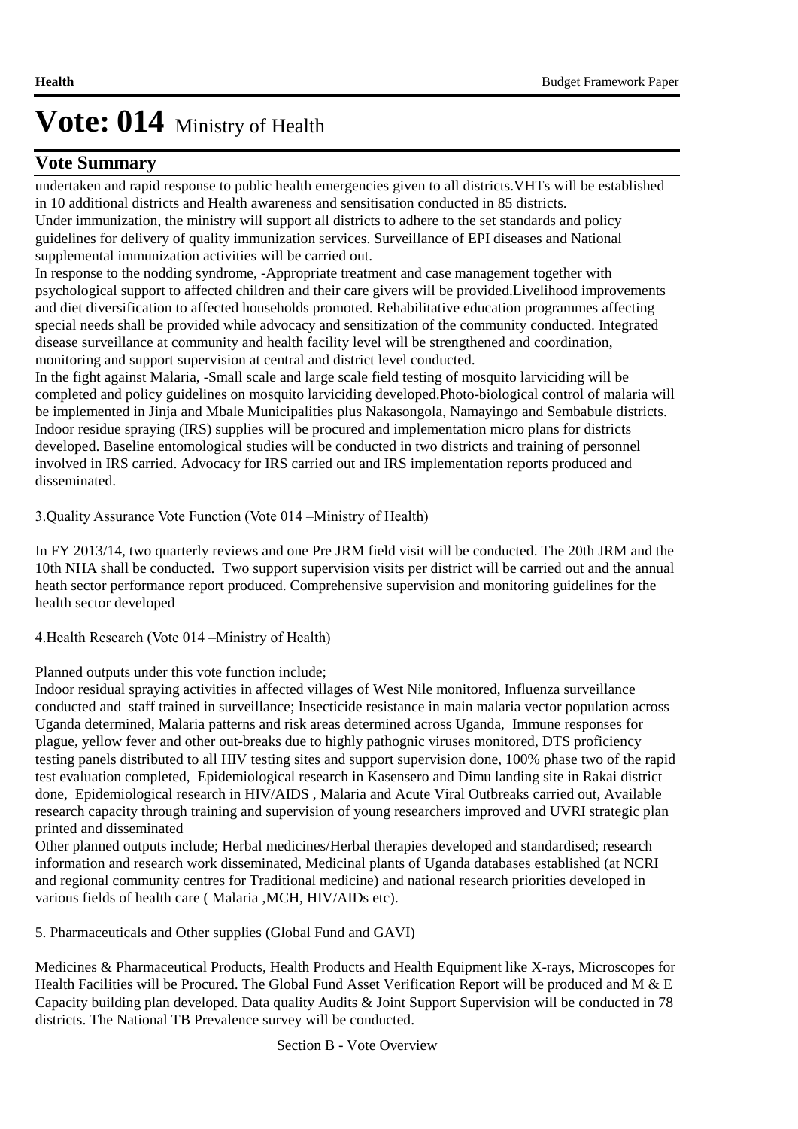### **Vote Summary**

undertaken and rapid response to public health emergencies given to all districts.VHTs will be established in 10 additional districts and Health awareness and sensitisation conducted in 85 districts.

Under immunization, the ministry will support all districts to adhere to the set standards and policy guidelines for delivery of quality immunization services. Surveillance of EPI diseases and National supplemental immunization activities will be carried out.

In response to the nodding syndrome, -Appropriate treatment and case management together with psychological support to affected children and their care givers will be provided.Livelihood improvements and diet diversification to affected households promoted. Rehabilitative education programmes affecting special needs shall be provided while advocacy and sensitization of the community conducted. Integrated disease surveillance at community and health facility level will be strengthened and coordination, monitoring and support supervision at central and district level conducted.

In the fight against Malaria, -Small scale and large scale field testing of mosquito larviciding will be completed and policy guidelines on mosquito larviciding developed.Photo-biological control of malaria will be implemented in Jinja and Mbale Municipalities plus Nakasongola, Namayingo and Sembabule districts. Indoor residue spraying (IRS) supplies will be procured and implementation micro plans for districts developed. Baseline entomological studies will be conducted in two districts and training of personnel involved in IRS carried. Advocacy for IRS carried out and IRS implementation reports produced and disseminated.

3. Quality Assurance Vote Function (Vote 014 –Ministry of Health)

In FY 2013/14, two quarterly reviews and one Pre JRM field visit will be conducted. The 20th JRM and the 10th NHA shall be conducted. Two support supervision visits per district will be carried out and the annual heath sector performance report produced. Comprehensive supervision and monitoring guidelines for the health sector developed

4. Health Research (Vote 014 – Ministry of Health)

Planned outputs under this vote function include;

Indoor residual spraying activities in affected villages of West Nile monitored, Influenza surveillance conducted and staff trained in surveillance; Insecticide resistance in main malaria vector population across Uganda determined, Malaria patterns and risk areas determined across Uganda, Immune responses for plague, yellow fever and other out-breaks due to highly pathognic viruses monitored, DTS proficiency testing panels distributed to all HIV testing sites and support supervision done, 100% phase two of the rapid test evaluation completed, Epidemiological research in Kasensero and Dimu landing site in Rakai district done, Epidemiological research in HIV/AIDS , Malaria and Acute Viral Outbreaks carried out, Available research capacity through training and supervision of young researchers improved and UVRI strategic plan printed and disseminated

Other planned outputs include; Herbal medicines/Herbal therapies developed and standardised; research information and research work disseminated, Medicinal plants of Uganda databases established (at NCRI and regional community centres for Traditional medicine) and national research priorities developed in various fields of health care ( Malaria ,MCH, HIV/AIDs etc).

5. Pharmaceuticals and Other supplies (Global Fund and GAVI)

Medicines & Pharmaceutical Products, Health Products and Health Equipment like X-rays, Microscopes for Health Facilities will be Procured. The Global Fund Asset Verification Report will be produced and M & E Capacity building plan developed. Data quality Audits & Joint Support Supervision will be conducted in 78 districts. The National TB Prevalence survey will be conducted.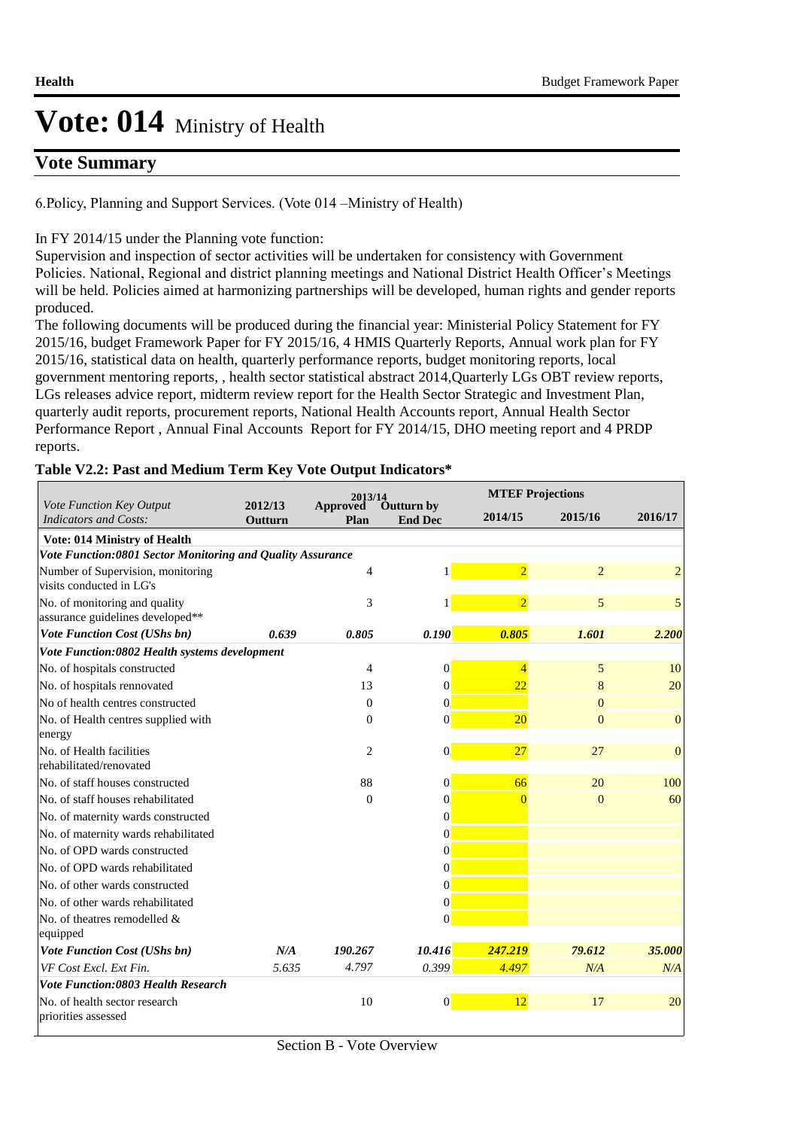### **Vote Summary**

6. Policy, Planning and Support Services. (Vote 014 –Ministry of Health)

#### In FY 2014/15 under the Planning vote function:

Supervision and inspection of sector activities will be undertaken for consistency with Government Policies. National, Regional and district planning meetings and National District Health Officer's Meetings will be held. Policies aimed at harmonizing partnerships will be developed, human rights and gender reports produced.

The following documents will be produced during the financial year: Ministerial Policy Statement for FY 2015/16, budget Framework Paper for FY 2015/16, 4 HMIS Quarterly Reports, Annual work plan for FY 2015/16, statistical data on health, quarterly performance reports, budget monitoring reports, local government mentoring reports, , health sector statistical abstract 2014,Quarterly LGs OBT review reports, LGs releases advice report, midterm review report for the Health Sector Strategic and Investment Plan, quarterly audit reports, procurement reports, National Health Accounts report, Annual Health Sector Performance Report , Annual Final Accounts Report for FY 2014/15, DHO meeting report and 4 PRDP reports.

#### **Table V2.2: Past and Medium Term Key Vote Output Indicators\***

|                                                                   | 2013/14            |                  |                                     | <b>MTEF Projections</b> |                |                |
|-------------------------------------------------------------------|--------------------|------------------|-------------------------------------|-------------------------|----------------|----------------|
| Vote Function Key Output<br><b>Indicators and Costs:</b>          | 2012/13<br>Outturn | Approved<br>Plan | <b>Outturn by</b><br><b>End Dec</b> | 2014/15                 | 2015/16        | 2016/17        |
| <b>Vote: 014 Ministry of Health</b>                               |                    |                  |                                     |                         |                |                |
| Vote Function:0801 Sector Monitoring and Quality Assurance        |                    |                  |                                     |                         |                |                |
| Number of Supervision, monitoring<br>visits conducted in LG's     |                    | 4                | 1                                   | $\overline{2}$          | $\overline{2}$ | $\overline{2}$ |
| No. of monitoring and quality<br>assurance guidelines developed** |                    | 3                | 1                                   | $\overline{2}$          | 5              | 5              |
| Vote Function Cost (UShs bn)                                      | 0.639              | 0.805            | 0.190                               | 0.805                   | 1.601          | 2.200          |
| Vote Function:0802 Health systems development                     |                    |                  |                                     |                         |                |                |
| No. of hospitals constructed                                      |                    | 4                | $\vert 0 \vert$                     | $\overline{A}$          | 5              | 10             |
| No. of hospitals rennovated                                       |                    | 13               | $\Omega$                            | 22                      | 8              | 20             |
| No of health centres constructed                                  |                    | $\Omega$         | $\Omega$                            |                         | $\Omega$       |                |
| No. of Health centres supplied with                               |                    | $\Omega$         | $\vert 0 \vert$                     | 20                      | $\Omega$       | $\overline{0}$ |
| energy                                                            |                    |                  |                                     |                         |                |                |
| No. of Health facilities<br>rehabilitated/renovated               |                    | $\overline{2}$   | $\vert 0 \vert$                     | 27                      | 27             | $\overline{0}$ |
| No. of staff houses constructed                                   |                    | 88               | $\vert 0 \vert$                     | 66                      | 20             | 100            |
| No. of staff houses rehabilitated                                 |                    | $\Omega$         | $\Omega$                            | $\Omega$                | $\Omega$       | 60             |
| No. of maternity wards constructed                                |                    |                  | $\Omega$                            |                         |                |                |
| No. of maternity wards rehabilitated                              |                    |                  | $\Omega$                            |                         |                |                |
| No. of OPD wards constructed                                      |                    |                  | $\vert 0 \vert$                     |                         |                |                |
| No. of OPD wards rehabilitated                                    |                    |                  | $\vert 0 \vert$                     |                         |                |                |
| No. of other wards constructed                                    |                    |                  | $\vert 0 \vert$                     |                         |                |                |
| No. of other wards rehabilitated                                  |                    |                  | $\vert 0 \vert$                     |                         |                |                |
| No. of theatres remodelled &<br>equipped                          |                    |                  | $\vert 0 \vert$                     |                         |                |                |
| Vote Function Cost (UShs bn)                                      | N/A                | 190.267          | 10.416                              | 247.219                 | 79.612         | 35.000         |
| VF Cost Excl. Ext Fin.                                            | 5.635              | 4.797            | 0.399                               | 4.497                   | N/A            | N/A            |
| <b>Vote Function:0803 Health Research</b>                         |                    |                  |                                     |                         |                |                |
| No. of health sector research<br>priorities assessed              |                    | 10               | $\vert 0 \vert$                     | 12                      | 17             | 20             |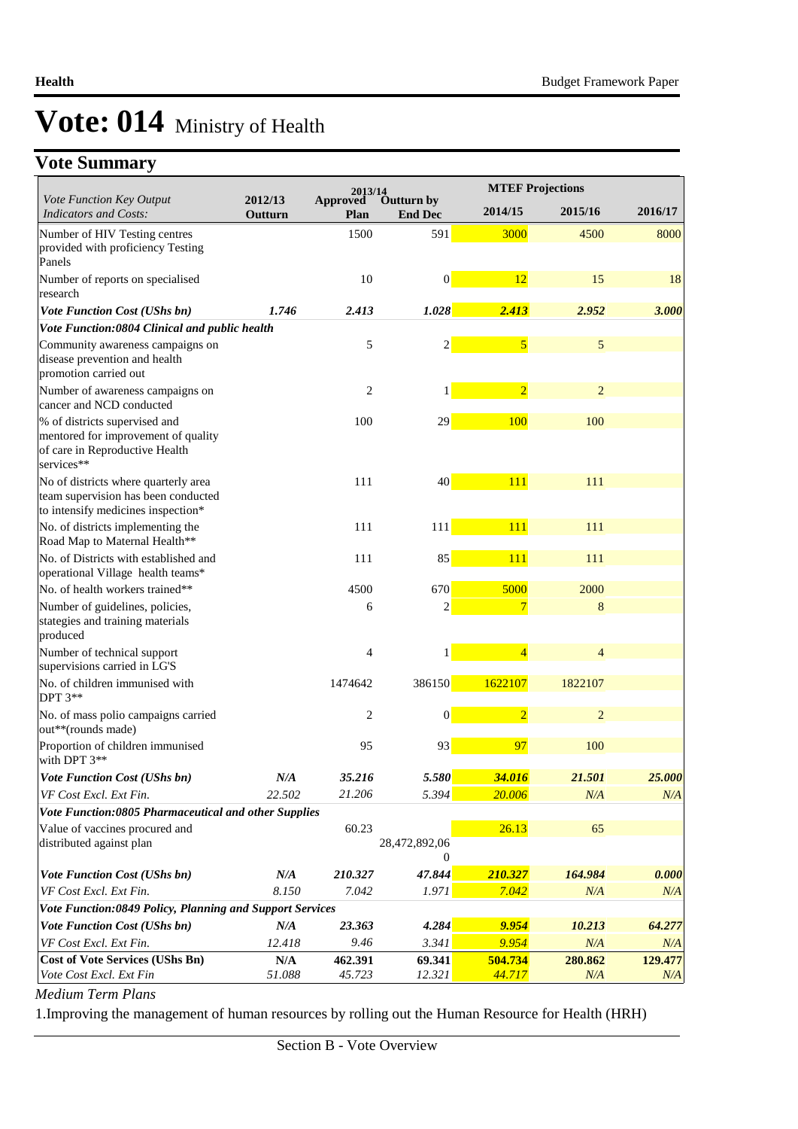### **Vote Summary**

|                                                                                                                      |                         | 2013/14                        |                              |                | <b>MTEF Projections</b> |         |  |  |
|----------------------------------------------------------------------------------------------------------------------|-------------------------|--------------------------------|------------------------------|----------------|-------------------------|---------|--|--|
| Vote Function Key Output<br><b>Indicators and Costs:</b>                                                             | 2012/13<br>Outturn      | <b>Approved</b><br><b>Plan</b> | Outturn by<br><b>End Dec</b> | 2014/15        | 2015/16                 | 2016/17 |  |  |
| Number of HIV Testing centres<br>provided with proficiency Testing<br>Panels                                         |                         | 1500                           | 591                          | 3000           | 4500                    | 8000    |  |  |
| Number of reports on specialised<br>research                                                                         |                         | 10                             | $\vert 0 \vert$              | 12             | 15                      | 18      |  |  |
| Vote Function Cost (UShs bn)                                                                                         | 1.746                   | 2.413                          | 1.028                        | 2.413          | 2.952                   | 3.000   |  |  |
| Vote Function:0804 Clinical and public health                                                                        |                         |                                |                              |                |                         |         |  |  |
| Community awareness campaigns on<br>disease prevention and health<br>promotion carried out                           |                         | 5                              | $\overline{2}$               | $\overline{5}$ | 5                       |         |  |  |
| Number of awareness campaigns on<br>cancer and NCD conducted                                                         |                         | $\overline{c}$                 | 1                            | $\overline{2}$ | $\overline{2}$          |         |  |  |
| % of districts supervised and<br>mentored for improvement of quality<br>of care in Reproductive Health<br>services** |                         | 100                            | 29                           | 100            | 100                     |         |  |  |
| No of districts where quarterly area<br>team supervision has been conducted<br>to intensify medicines inspection*    |                         | 111                            | 40 <sup>°</sup>              | 111            | 111                     |         |  |  |
| No. of districts implementing the<br>Road Map to Maternal Health**                                                   |                         | 111                            | 111                          | 111            | 111                     |         |  |  |
| No. of Districts with established and<br>operational Village health teams*                                           |                         | 111                            | 85                           | 111            | 111                     |         |  |  |
| No. of health workers trained**                                                                                      |                         | 4500                           | 670                          | 5000           | 2000                    |         |  |  |
| Number of guidelines, policies,<br>stategies and training materials<br>produced                                      |                         | 6                              | $\overline{c}$               | 7              | 8                       |         |  |  |
| Number of technical support<br>supervisions carried in LG'S                                                          |                         | 4                              | $\mathbf{1}$                 | $\overline{4}$ | 4                       |         |  |  |
| No. of children immunised with<br><b>DPT 3**</b>                                                                     |                         | 1474642                        | 386150                       | 1622107        | 1822107                 |         |  |  |
| No. of mass polio campaigns carried<br>out**(rounds made)                                                            |                         | $\overline{2}$                 | $\mathbf{0}$                 | $\overline{2}$ | $\overline{2}$          |         |  |  |
| Proportion of children immunised<br>with DPT 3**                                                                     |                         | 95                             | 93                           | 97             | 100                     |         |  |  |
| Vote Function Cost (UShs bn)                                                                                         | N/A                     | 35.216                         | 5.580                        | 34.016         | 21.501                  | 25.000  |  |  |
| VF Cost Excl. Ext Fin.                                                                                               | 22.502                  | 21.206                         | 5.394                        | 20.006         | N/A                     | N/A     |  |  |
| Vote Function:0805 Pharmaceutical and other Supplies                                                                 |                         |                                |                              |                |                         |         |  |  |
| Value of vaccines procured and<br>distributed against plan                                                           |                         | 60.23                          | 28,472,892,06<br>$\theta$    | 26.13          | 65                      |         |  |  |
| Vote Function Cost (UShs bn)                                                                                         | N/A                     | 210.327                        | 47.844                       | 210.327        | 164.984                 | 0.000   |  |  |
| VF Cost Excl. Ext Fin.                                                                                               | 8.150                   | 7.042                          | 1.971                        | 7.042          | N/A                     | N/A     |  |  |
| Vote Function:0849 Policy, Planning and Support Services                                                             |                         |                                |                              |                |                         |         |  |  |
| <b>Vote Function Cost (UShs bn)</b>                                                                                  | N/A                     | 23.363                         | 4.284                        | 9.954          | 10.213                  | 64.277  |  |  |
| VF Cost Excl. Ext Fin.                                                                                               | 12.418                  | 9.46                           | 3.341                        | 9.954          | N/A                     | N/A     |  |  |
| <b>Cost of Vote Services (UShs Bn)</b>                                                                               | $\mathbf{N}/\mathbf{A}$ | 462.391                        | 69.341                       | 504.734        | 280.862                 | 129.477 |  |  |
| Vote Cost Excl. Ext Fin                                                                                              | 51.088                  | 45.723                         | 12.321                       | 44.717         | N/A                     | N/A     |  |  |

*Medium Term Plans*

1. Improving the management of human resources by rolling out the Human Resource for Health (HRH)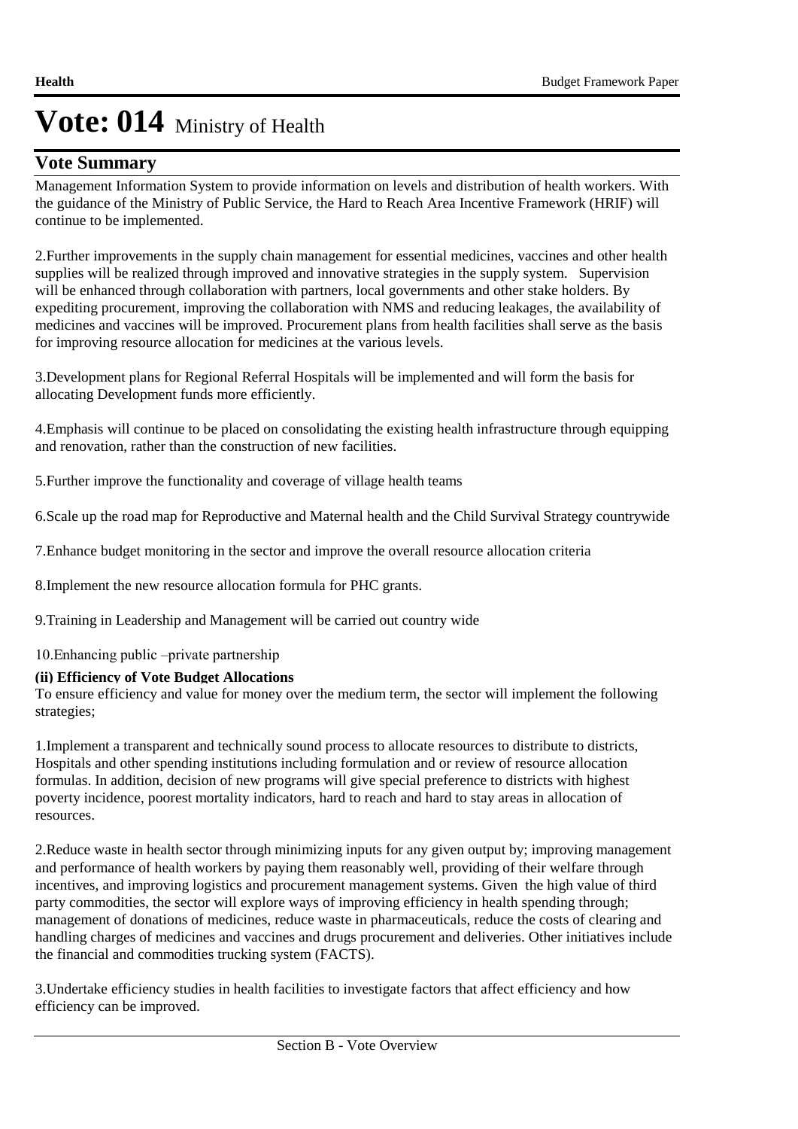### **Vote Summary**

Management Information System to provide information on levels and distribution of health workers. With the guidance of the Ministry of Public Service, the Hard to Reach Area Incentive Framework (HRIF) will continue to be implemented.

2. Further improvements in the supply chain management for essential medicines, vaccines and other health supplies will be realized through improved and innovative strategies in the supply system. Supervision will be enhanced through collaboration with partners, local governments and other stake holders. By expediting procurement, improving the collaboration with NMS and reducing leakages, the availability of medicines and vaccines will be improved. Procurement plans from health facilities shall serve as the basis for improving resource allocation for medicines at the various levels.

3. Development plans for Regional Referral Hospitals will be implemented and will form the basis for allocating Development funds more efficiently.

4. Emphasis will continue to be placed on consolidating the existing health infrastructure through equipping and renovation, rather than the construction of new facilities.

5. Further improve the functionality and coverage of village health teams

6. Scale up the road map for Reproductive and Maternal health and the Child Survival Strategy countrywide

7. Enhance budget monitoring in the sector and improve the overall resource allocation criteria

8. Implement the new resource allocation formula for PHC grants.

9. Training in Leadership and Management will be carried out country wide

10. Enhancing public –private partnership

#### **(ii) Efficiency of Vote Budget Allocations**

To ensure efficiency and value for money over the medium term, the sector will implement the following strategies;

1. Implement a transparent and technically sound process to allocate resources to distribute to districts, Hospitals and other spending institutions including formulation and or review of resource allocation formulas. In addition, decision of new programs will give special preference to districts with highest poverty incidence, poorest mortality indicators, hard to reach and hard to stay areas in allocation of resources.

2. Reduce waste in health sector through minimizing inputs for any given output by; improving management and performance of health workers by paying them reasonably well, providing of their welfare through incentives, and improving logistics and procurement management systems. Given the high value of third party commodities, the sector will explore ways of improving efficiency in health spending through; management of donations of medicines, reduce waste in pharmaceuticals, reduce the costs of clearing and handling charges of medicines and vaccines and drugs procurement and deliveries. Other initiatives include the financial and commodities trucking system (FACTS).

3. Undertake efficiency studies in health facilities to investigate factors that affect efficiency and how efficiency can be improved.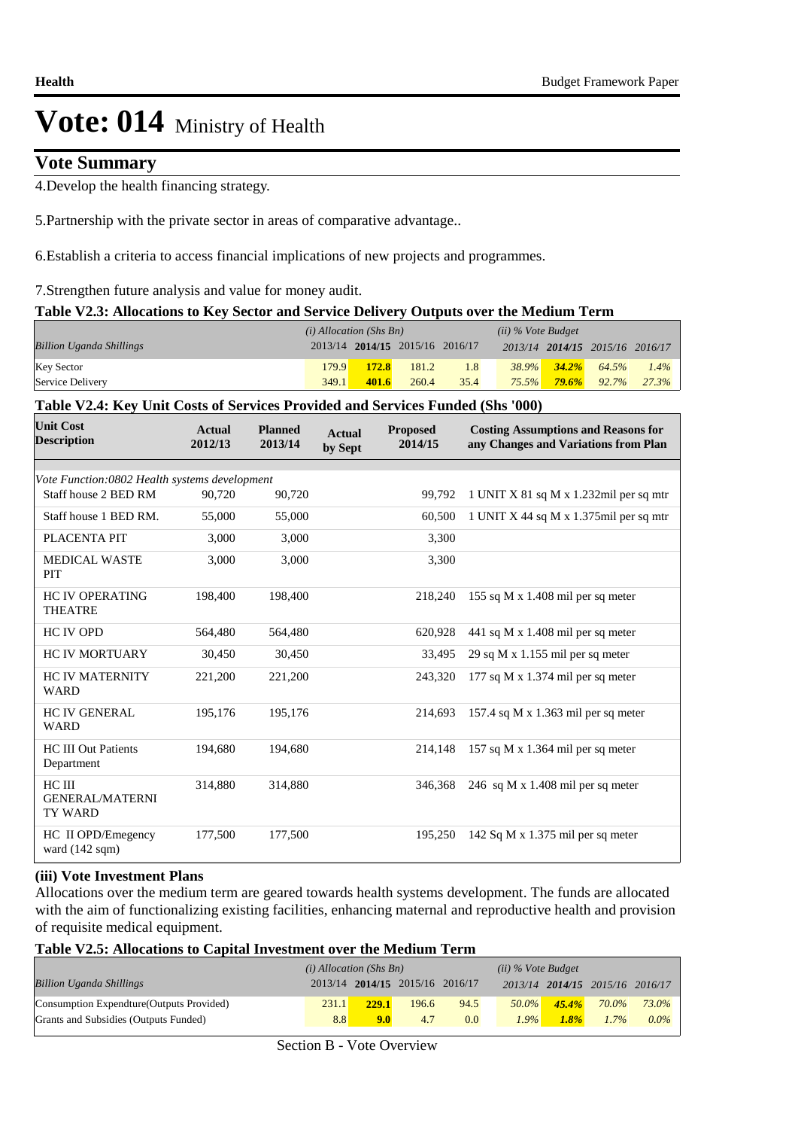### **Vote Summary**

4. Develop the health financing strategy.

5. Partnership with the private sector in areas of comparative advantage..

6. Establish a criteria to access financial implications of new projects and programmes.

7. Strengthen future analysis and value for money audit.

#### **Table V2.3: Allocations to Key Sector and Service Delivery Outputs over the Medium Term**

|                                 | $(i)$ Allocation (Shs Bn) |                                 |       |      | $(ii)$ % Vote Budget |                   |                                 |         |
|---------------------------------|---------------------------|---------------------------------|-------|------|----------------------|-------------------|---------------------------------|---------|
| <b>Billion Uganda Shillings</b> |                           | 2013/14 2014/15 2015/16 2016/17 |       |      |                      |                   | 2013/14 2014/15 2015/16 2016/17 |         |
| Key Sector                      | 179.9                     | <b>172.8</b>                    | 181.2 | 1.8  |                      | $38.9\%$ $34.2\%$ | 64.5%                           | $1.4\%$ |
| Service Delivery                | 349.1                     | 401.6                           | 260.4 | 35.4 | $75.5\%$             | $79.6\%$          | 92.7%                           | 27.3%   |

#### **Table V2.4: Key Unit Costs of Services Provided and Services Funded (Shs '000)**

| <b>Unit Cost</b><br><b>Description</b>                                | Actual<br>2012/13 | <b>Planned</b><br>2013/14 | <b>Actual</b><br>by Sept | <b>Proposed</b><br>2014/15 | <b>Costing Assumptions and Reasons for</b><br>any Changes and Variations from Plan |
|-----------------------------------------------------------------------|-------------------|---------------------------|--------------------------|----------------------------|------------------------------------------------------------------------------------|
|                                                                       |                   |                           |                          |                            |                                                                                    |
| Vote Function:0802 Health systems development<br>Staff house 2 BED RM | 90,720            | 90,720                    |                          | 99,792                     | 1 UNIT X 81 sq M x 1.232mil per sq mtr                                             |
| Staff house 1 BED RM.                                                 | 55,000            | 55,000                    |                          | 60,500                     | 1 UNIT X 44 sq M x $1.375$ mil per sq mtr                                          |
| PLACENTA PIT                                                          | 3,000             | 3,000                     |                          | 3,300                      |                                                                                    |
| <b>MEDICAL WASTE</b><br><b>PIT</b>                                    | 3,000             | 3,000                     |                          | 3,300                      |                                                                                    |
| <b>HC IV OPERATING</b><br><b>THEATRE</b>                              | 198,400           | 198,400                   |                          | 218,240                    | 155 sq M x $1.408$ mil per sq meter                                                |
| <b>HC IV OPD</b>                                                      | 564,480           | 564,480                   |                          | 620,928                    | 441 sq M x $1.408$ mil per sq meter                                                |
| <b>HC IV MORTUARY</b>                                                 | 30,450            | 30,450                    |                          | 33,495                     | 29 sq M x $1.155$ mil per sq meter                                                 |
| <b>HC IV MATERNITY</b><br><b>WARD</b>                                 | 221,200           | 221,200                   |                          | 243,320                    | 177 sq M x $1.374$ mil per sq meter                                                |
| <b>HC IV GENERAL</b><br><b>WARD</b>                                   | 195,176           | 195,176                   |                          | 214,693                    | 157.4 sq M x 1.363 mil per sq meter                                                |
| <b>HC III Out Patients</b><br>Department                              | 194,680           | 194,680                   |                          | 214,148                    | 157 sq M x 1.364 mil per sq meter                                                  |
| HC III<br><b>GENERAL/MATERNI</b><br>TY WARD                           | 314,880           | 314,880                   |                          | 346,368                    | 246 sq M x $1.408$ mil per sq meter                                                |
| HC II OPD/Emegency<br>ward $(142 \text{ sqm})$                        | 177,500           | 177,500                   |                          | 195,250                    | 142 Sq M x 1.375 mil per sq meter                                                  |

#### **(iii) Vote Investment Plans**

Allocations over the medium term are geared towards health systems development. The funds are allocated with the aim of functionalizing existing facilities, enhancing maternal and reproductive health and provision of requisite medical equipment.

#### **Table V2.5: Allocations to Capital Investment over the Medium Term**

|                                           | $(i)$ Allocation (Shs Bn) |       |                                 | $(ii)$ % Vote Budget |          |          |                                 |         |
|-------------------------------------------|---------------------------|-------|---------------------------------|----------------------|----------|----------|---------------------------------|---------|
| <b>Billion Uganda Shillings</b>           |                           |       | 2013/14 2014/15 2015/16 2016/17 |                      |          |          | 2013/14 2014/15 2015/16 2016/17 |         |
| Consumption Expendture (Outputs Provided) | 231.1                     | 229.1 | 196.6                           | 94.5                 | $50.0\%$ | $45.4\%$ | 70.0%                           | 73.0%   |
| Grants and Subsidies (Outputs Funded)     | 8.8                       | 9.0   | 4.7                             | 0.0                  | $1.9\%$  | $1.8\%$  | $1.7\%$                         | $0.0\%$ |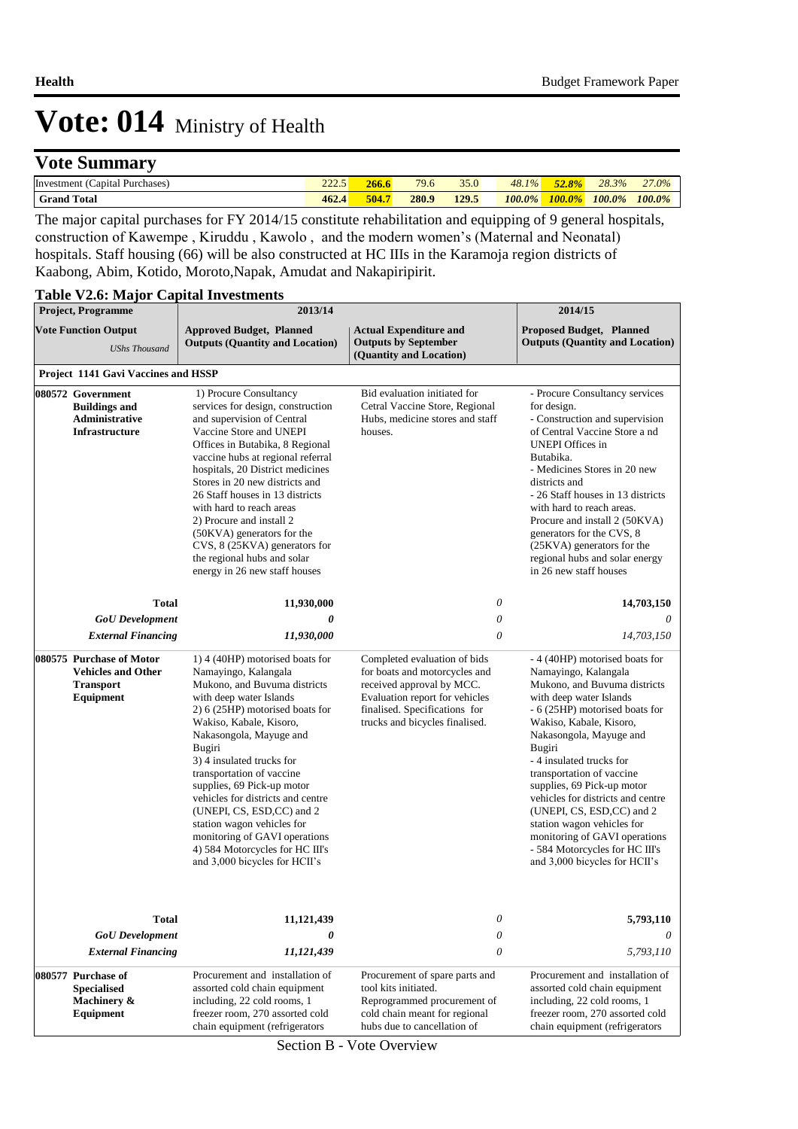### **Vote Summary**

| Investment<br>Purchases,<br>'Capital I | $\mathcal{L}$<br>---- |       | 79.6  | 350<br>99.U | $\overline{O}$<br>$1\%$<br>40.1 | .2.80  | 28.3%  | 27.0%  |
|----------------------------------------|-----------------------|-------|-------|-------------|---------------------------------|--------|--------|--------|
| Total<br>Grand                         | 462.4                 | 504.7 | 280.9 | 129.5       | $100.0\%$                       | 100.0% | 100.0% | 100.0% |

The major capital purchases for FY 2014/15 constitute rehabilitation and equipping of 9 general hospitals, construction of Kawempe , Kiruddu , Kawolo , and the modern women's (Maternal and Neonatal) hospitals. Staff housing (66) will be also constructed at HC IIIs in the Karamoja region districts of Kaabong, Abim, Kotido, Moroto,Napak, Amudat and Nakapiripirit.

### **Table V2.6: Major Capital Investments**

| <b>Project, Programme</b>                                                              | 2013/14                                                                                                                                                                                                                                                                                                                                                                                                                                                                                                            |                                                                                                                                                                                                 | 2014/15                                                                                                                                                                                                                                                                                                                                                                                                                                                                                                         |
|----------------------------------------------------------------------------------------|--------------------------------------------------------------------------------------------------------------------------------------------------------------------------------------------------------------------------------------------------------------------------------------------------------------------------------------------------------------------------------------------------------------------------------------------------------------------------------------------------------------------|-------------------------------------------------------------------------------------------------------------------------------------------------------------------------------------------------|-----------------------------------------------------------------------------------------------------------------------------------------------------------------------------------------------------------------------------------------------------------------------------------------------------------------------------------------------------------------------------------------------------------------------------------------------------------------------------------------------------------------|
| <b>Vote Function Output</b><br><b>UShs Thousand</b>                                    | <b>Approved Budget, Planned</b><br><b>Outputs (Quantity and Location)</b>                                                                                                                                                                                                                                                                                                                                                                                                                                          | <b>Actual Expenditure and</b><br><b>Outputs by September</b><br>(Quantity and Location)                                                                                                         | Proposed Budget, Planned<br><b>Outputs (Quantity and Location)</b>                                                                                                                                                                                                                                                                                                                                                                                                                                              |
| Project 1141 Gavi Vaccines and HSSP                                                    |                                                                                                                                                                                                                                                                                                                                                                                                                                                                                                                    |                                                                                                                                                                                                 |                                                                                                                                                                                                                                                                                                                                                                                                                                                                                                                 |
| 080572 Government<br><b>Buildings and</b><br>Administrative<br><b>Infrastructure</b>   | 1) Procure Consultancy<br>services for design, construction<br>and supervision of Central<br>Vaccine Store and UNEPI<br>Offices in Butabika, 8 Regional<br>vaccine hubs at regional referral<br>hospitals, 20 District medicines<br>Stores in 20 new districts and<br>26 Staff houses in 13 districts<br>with hard to reach areas<br>2) Procure and install 2<br>(50KVA) generators for the<br>CVS, 8 (25KVA) generators for<br>the regional hubs and solar<br>energy in 26 new staff houses                       | Bid evaluation initiated for<br>Cetral Vaccine Store, Regional<br>Hubs, medicine stores and staff<br>houses.                                                                                    | - Procure Consultancy services<br>for design.<br>- Construction and supervision<br>of Central Vaccine Store a nd<br><b>UNEPI</b> Offices in<br>Butabika.<br>- Medicines Stores in 20 new<br>districts and<br>- 26 Staff houses in 13 districts<br>with hard to reach areas.<br>Procure and install 2 (50KVA)<br>generators for the CVS, 8<br>(25KVA) generators for the<br>regional hubs and solar energy<br>in 26 new staff houses                                                                             |
| <b>Total</b>                                                                           | 11,930,000                                                                                                                                                                                                                                                                                                                                                                                                                                                                                                         | $\boldsymbol{\theta}$                                                                                                                                                                           | 14,703,150                                                                                                                                                                                                                                                                                                                                                                                                                                                                                                      |
| <b>GoU</b> Development                                                                 | 0                                                                                                                                                                                                                                                                                                                                                                                                                                                                                                                  | $\boldsymbol{\theta}$                                                                                                                                                                           | 0                                                                                                                                                                                                                                                                                                                                                                                                                                                                                                               |
| <b>External Financing</b>                                                              | 11,930,000                                                                                                                                                                                                                                                                                                                                                                                                                                                                                                         | $\boldsymbol{\theta}$                                                                                                                                                                           | 14,703,150                                                                                                                                                                                                                                                                                                                                                                                                                                                                                                      |
| 080575 Purchase of Motor<br><b>Vehicles and Other</b><br><b>Transport</b><br>Equipment | 1) 4 (40HP) motorised boats for<br>Namayingo, Kalangala<br>Mukono, and Buvuma districts<br>with deep water Islands<br>2) 6 (25HP) motorised boats for<br>Wakiso, Kabale, Kisoro,<br>Nakasongola, Mayuge and<br>Bugiri<br>3) 4 insulated trucks for<br>transportation of vaccine<br>supplies, 69 Pick-up motor<br>vehicles for districts and centre<br>(UNEPI, CS, ESD,CC) and 2<br>station wagon vehicles for<br>monitoring of GAVI operations<br>4) 584 Motorcycles for HC III's<br>and 3,000 bicycles for HCII's | Completed evaluation of bids<br>for boats and motorcycles and<br>received approval by MCC.<br>Evaluation report for vehicles<br>finalised. Specifications for<br>trucks and bicycles finalised. | - 4 (40HP) motorised boats for<br>Namayingo, Kalangala<br>Mukono, and Buvuma districts<br>with deep water Islands<br>- 6 (25HP) motorised boats for<br>Wakiso, Kabale, Kisoro,<br>Nakasongola, Mayuge and<br>Bugiri<br>- 4 insulated trucks for<br>transportation of vaccine<br>supplies, 69 Pick-up motor<br>vehicles for districts and centre<br>(UNEPI, CS, ESD, CC) and 2<br>station wagon vehicles for<br>monitoring of GAVI operations<br>- 584 Motorcycles for HC III's<br>and 3,000 bicycles for HCII's |
| <b>Total</b><br><b>GoU</b> Development<br><b>External Financing</b>                    | 11,121,439<br>0<br>11,121,439                                                                                                                                                                                                                                                                                                                                                                                                                                                                                      | 0<br>0<br>0                                                                                                                                                                                     | 5,793,110<br>0<br>5,793,110                                                                                                                                                                                                                                                                                                                                                                                                                                                                                     |
| 080577 Purchase of<br><b>Specialised</b><br>Machinery &<br>Equipment                   | Procurement and installation of<br>assorted cold chain equipment<br>including, 22 cold rooms, 1<br>freezer room, 270 assorted cold<br>chain equipment (refrigerators                                                                                                                                                                                                                                                                                                                                               | Procurement of spare parts and<br>tool kits initiated.<br>Reprogrammed procurement of<br>cold chain meant for regional<br>hubs due to cancellation of                                           | Procurement and installation of<br>assorted cold chain equipment<br>including, 22 cold rooms, 1<br>freezer room, 270 assorted cold<br>chain equipment (refrigerators                                                                                                                                                                                                                                                                                                                                            |

Section B - Vote Overview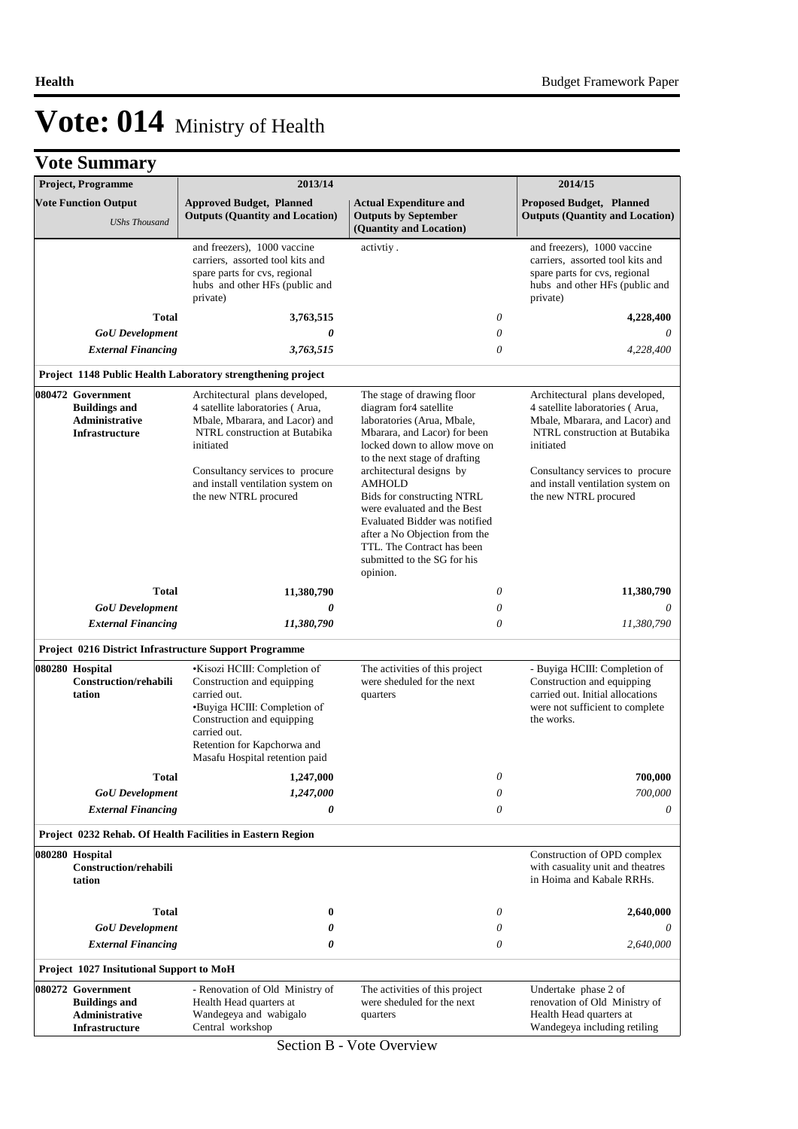|                                                                                           | <b>Vote Summary</b>                                                           |                                                                                                                                                                                           |                                                                                                                                                                                                                                                   |                                                                                                                                                  |
|-------------------------------------------------------------------------------------------|-------------------------------------------------------------------------------|-------------------------------------------------------------------------------------------------------------------------------------------------------------------------------------------|---------------------------------------------------------------------------------------------------------------------------------------------------------------------------------------------------------------------------------------------------|--------------------------------------------------------------------------------------------------------------------------------------------------|
|                                                                                           | Project, Programme                                                            | 2013/14                                                                                                                                                                                   |                                                                                                                                                                                                                                                   | 2014/15                                                                                                                                          |
| <b>Vote Function Output</b><br><b>UShs Thousand</b>                                       |                                                                               | <b>Approved Budget, Planned</b><br><b>Outputs (Quantity and Location)</b>                                                                                                                 | <b>Actual Expenditure and</b><br><b>Outputs by September</b>                                                                                                                                                                                      | <b>Proposed Budget, Planned</b><br><b>Outputs (Quantity and Location)</b>                                                                        |
|                                                                                           |                                                                               |                                                                                                                                                                                           | (Quantity and Location)                                                                                                                                                                                                                           |                                                                                                                                                  |
|                                                                                           |                                                                               | and freezers), 1000 vaccine<br>carriers, assorted tool kits and<br>spare parts for cvs, regional<br>hubs and other HFs (public and<br>private)                                            | activtiy.                                                                                                                                                                                                                                         | and freezers), 1000 vaccine<br>carriers, assorted tool kits and<br>spare parts for cvs, regional<br>hubs and other HFs (public and<br>private)   |
|                                                                                           | <b>Total</b>                                                                  | 3,763,515                                                                                                                                                                                 | 0                                                                                                                                                                                                                                                 | 4,228,400                                                                                                                                        |
|                                                                                           | <b>GoU</b> Development                                                        | 0                                                                                                                                                                                         | 0                                                                                                                                                                                                                                                 | 0                                                                                                                                                |
|                                                                                           | <b>External Financing</b>                                                     | 3,763,515                                                                                                                                                                                 | 0                                                                                                                                                                                                                                                 | 4,228,400                                                                                                                                        |
|                                                                                           |                                                                               | Project 1148 Public Health Laboratory strengthening project                                                                                                                               |                                                                                                                                                                                                                                                   |                                                                                                                                                  |
|                                                                                           | 080472 Government                                                             | Architectural plans developed,                                                                                                                                                            | The stage of drawing floor                                                                                                                                                                                                                        | Architectural plans developed,                                                                                                                   |
|                                                                                           | <b>Buildings and</b><br><b>Administrative</b><br><b>Infrastructure</b>        | 4 satellite laboratories (Arua,<br>Mbale, Mbarara, and Lacor) and<br>NTRL construction at Butabika<br>initiated                                                                           | diagram for 4 satellite<br>laboratories (Arua, Mbale,<br>Mbarara, and Lacor) for been<br>locked down to allow move on<br>to the next stage of drafting                                                                                            | 4 satellite laboratories (Arua,<br>Mbale, Mbarara, and Lacor) and<br>NTRL construction at Butabika<br>initiated                                  |
|                                                                                           |                                                                               | Consultancy services to procure<br>and install ventilation system on<br>the new NTRL procured                                                                                             | architectural designs by<br><b>AMHOLD</b><br>Bids for constructing NTRL<br>were evaluated and the Best<br>Evaluated Bidder was notified<br>after a No Objection from the<br>TTL. The Contract has been<br>submitted to the SG for his<br>opinion. | Consultancy services to procure<br>and install ventilation system on<br>the new NTRL procured                                                    |
|                                                                                           | <b>Total</b>                                                                  | 11,380,790                                                                                                                                                                                | 0                                                                                                                                                                                                                                                 | 11,380,790                                                                                                                                       |
|                                                                                           | <b>GoU</b> Development                                                        | 0                                                                                                                                                                                         | 0                                                                                                                                                                                                                                                 | 0                                                                                                                                                |
|                                                                                           | <b>External Financing</b>                                                     | 11,380,790                                                                                                                                                                                | $\theta$                                                                                                                                                                                                                                          | 11,380,790                                                                                                                                       |
|                                                                                           |                                                                               | Project 0216 District Infrastructure Support Programme                                                                                                                                    |                                                                                                                                                                                                                                                   |                                                                                                                                                  |
| 080280 Hospital<br><b>Construction/rehabili</b><br>carried out.<br>tation<br>carried out. |                                                                               | •Kisozi HCIII: Completion of<br>Construction and equipping<br>•Buyiga HCIII: Completion of<br>Construction and equipping<br>Retention for Kapchorwa and<br>Masafu Hospital retention paid | The activities of this project<br>were sheduled for the next<br>quarters                                                                                                                                                                          | - Buyiga HCIII: Completion of<br>Construction and equipping<br>carried out. Initial allocations<br>were not sufficient to complete<br>the works. |
|                                                                                           | <b>Total</b>                                                                  | 1,247,000                                                                                                                                                                                 | 0                                                                                                                                                                                                                                                 | 700,000                                                                                                                                          |
|                                                                                           | <b>GoU</b> Development                                                        | 1,247,000                                                                                                                                                                                 | $\theta$                                                                                                                                                                                                                                          | 700,000                                                                                                                                          |
|                                                                                           | <b>External Financing</b>                                                     | 0                                                                                                                                                                                         | $\theta$                                                                                                                                                                                                                                          | 0                                                                                                                                                |
|                                                                                           |                                                                               | Project 0232 Rehab. Of Health Facilities in Eastern Region                                                                                                                                |                                                                                                                                                                                                                                                   |                                                                                                                                                  |
|                                                                                           | 080280 Hospital<br><b>Construction/rehabili</b><br>tation                     |                                                                                                                                                                                           |                                                                                                                                                                                                                                                   | Construction of OPD complex<br>with casuality unit and theatres<br>in Hoima and Kabale RRHs.                                                     |
|                                                                                           | Total                                                                         | $\bf{0}$                                                                                                                                                                                  | 0                                                                                                                                                                                                                                                 | 2,640,000                                                                                                                                        |
|                                                                                           | <b>GoU</b> Development                                                        | 0                                                                                                                                                                                         | $\theta$                                                                                                                                                                                                                                          |                                                                                                                                                  |
|                                                                                           | <b>External Financing</b>                                                     | 0                                                                                                                                                                                         | 0                                                                                                                                                                                                                                                 | 2,640,000                                                                                                                                        |
|                                                                                           | Project 1027 Insitutional Support to MoH                                      |                                                                                                                                                                                           |                                                                                                                                                                                                                                                   |                                                                                                                                                  |
|                                                                                           | 080272 Government<br><b>Buildings and</b><br>Administrative<br>Infrastructure | - Renovation of Old Ministry of<br>Health Head quarters at<br>Wandegeya and wabigalo<br>Central workshop                                                                                  | The activities of this project<br>were sheduled for the next<br>quarters                                                                                                                                                                          | Undertake phase 2 of<br>renovation of Old Ministry of<br>Health Head quarters at<br>Wandegeya including retiling                                 |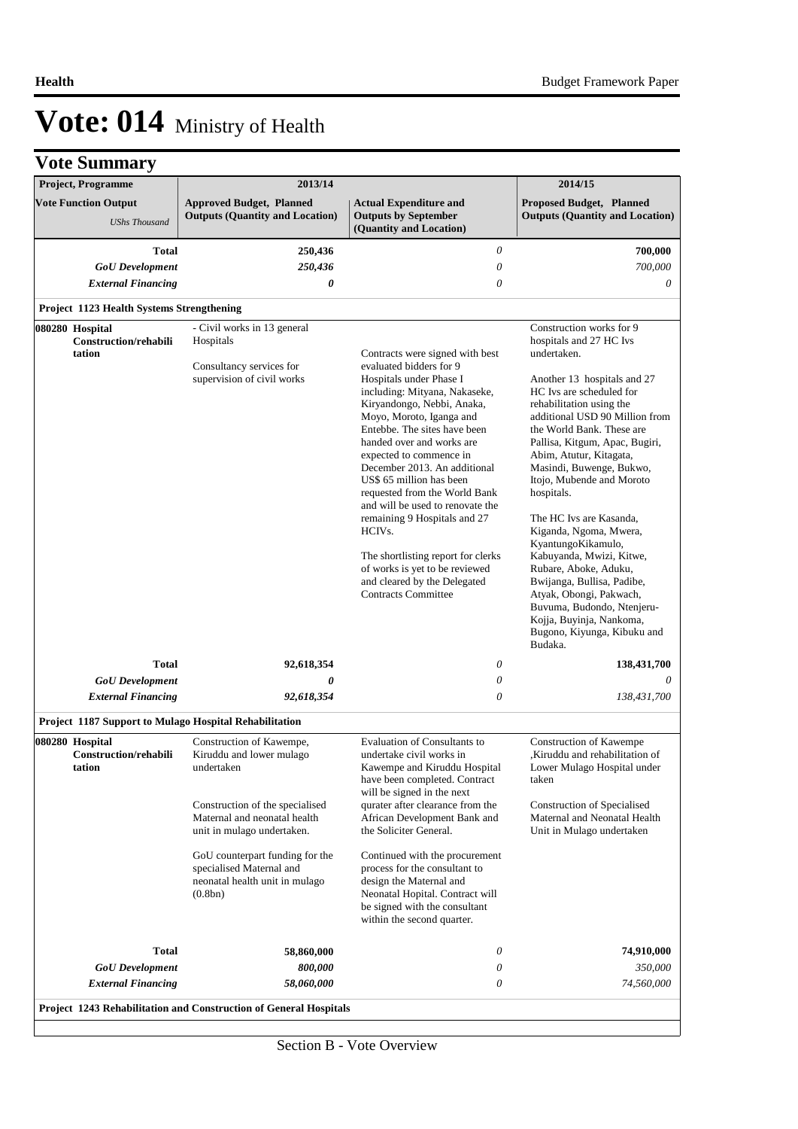| Project, Programme                                        | 2013/14                                                                                                                                                                                                                                                                         |                                                                                                                                                                                                                                                                                                                                                                                                                                                                                                                                                                                                        | 2014/15                                                                                                                                                                                                                                                                                                                                                                                                                                                                                                                                                                                                                                        |  |
|-----------------------------------------------------------|---------------------------------------------------------------------------------------------------------------------------------------------------------------------------------------------------------------------------------------------------------------------------------|--------------------------------------------------------------------------------------------------------------------------------------------------------------------------------------------------------------------------------------------------------------------------------------------------------------------------------------------------------------------------------------------------------------------------------------------------------------------------------------------------------------------------------------------------------------------------------------------------------|------------------------------------------------------------------------------------------------------------------------------------------------------------------------------------------------------------------------------------------------------------------------------------------------------------------------------------------------------------------------------------------------------------------------------------------------------------------------------------------------------------------------------------------------------------------------------------------------------------------------------------------------|--|
| <b>Vote Function Output</b><br><b>UShs Thousand</b>       | <b>Approved Budget, Planned</b><br><b>Outputs (Quantity and Location)</b>                                                                                                                                                                                                       | <b>Actual Expenditure and</b><br><b>Outputs by September</b><br>(Quantity and Location)                                                                                                                                                                                                                                                                                                                                                                                                                                                                                                                | Proposed Budget, Planned<br><b>Outputs (Quantity and Location)</b>                                                                                                                                                                                                                                                                                                                                                                                                                                                                                                                                                                             |  |
|                                                           | 250,436                                                                                                                                                                                                                                                                         | $\theta$                                                                                                                                                                                                                                                                                                                                                                                                                                                                                                                                                                                               | 700,000                                                                                                                                                                                                                                                                                                                                                                                                                                                                                                                                                                                                                                        |  |
| <b>Total</b><br><b>GoU</b> Development                    | 250,436                                                                                                                                                                                                                                                                         | 0                                                                                                                                                                                                                                                                                                                                                                                                                                                                                                                                                                                                      | 700,000                                                                                                                                                                                                                                                                                                                                                                                                                                                                                                                                                                                                                                        |  |
| <b>External Financing</b>                                 | 0                                                                                                                                                                                                                                                                               | 0                                                                                                                                                                                                                                                                                                                                                                                                                                                                                                                                                                                                      | 0                                                                                                                                                                                                                                                                                                                                                                                                                                                                                                                                                                                                                                              |  |
|                                                           |                                                                                                                                                                                                                                                                                 |                                                                                                                                                                                                                                                                                                                                                                                                                                                                                                                                                                                                        |                                                                                                                                                                                                                                                                                                                                                                                                                                                                                                                                                                                                                                                |  |
| Project 1123 Health Systems Strengthening                 |                                                                                                                                                                                                                                                                                 |                                                                                                                                                                                                                                                                                                                                                                                                                                                                                                                                                                                                        |                                                                                                                                                                                                                                                                                                                                                                                                                                                                                                                                                                                                                                                |  |
| 080280 Hospital<br><b>Construction/rehabili</b><br>tation | - Civil works in 13 general<br>Hospitals<br>Consultancy services for<br>supervision of civil works                                                                                                                                                                              | Contracts were signed with best<br>evaluated bidders for 9<br>Hospitals under Phase I<br>including: Mityana, Nakaseke,<br>Kiryandongo, Nebbi, Anaka,<br>Moyo, Moroto, Iganga and<br>Entebbe. The sites have been<br>handed over and works are<br>expected to commence in<br>December 2013. An additional<br>US\$ 65 million has been<br>requested from the World Bank<br>and will be used to renovate the<br>remaining 9 Hospitals and 27<br>HCIV <sub>s</sub> .<br>The shortlisting report for clerks<br>of works is yet to be reviewed<br>and cleared by the Delegated<br><b>Contracts Committee</b> | Construction works for 9<br>hospitals and 27 HC Ivs<br>undertaken.<br>Another 13 hospitals and 27<br>HC Ivs are scheduled for<br>rehabilitation using the<br>additional USD 90 Million from<br>the World Bank. These are<br>Pallisa, Kitgum, Apac, Bugiri,<br>Abim, Atutur, Kitagata,<br>Masindi, Buwenge, Bukwo,<br>Itojo, Mubende and Moroto<br>hospitals.<br>The HC Ivs are Kasanda,<br>Kiganda, Ngoma, Mwera,<br>KyantungoKikamulo,<br>Kabuyanda, Mwizi, Kitwe,<br>Rubare, Aboke, Aduku,<br>Bwijanga, Bullisa, Padibe,<br>Atyak, Obongi, Pakwach,<br>Buvuma, Budondo, Ntenjeru-<br>Kojja, Buyinja, Nankoma,<br>Bugono, Kiyunga, Kibuku and |  |
| <b>Total</b>                                              | 92,618,354                                                                                                                                                                                                                                                                      | 0                                                                                                                                                                                                                                                                                                                                                                                                                                                                                                                                                                                                      | Budaka.<br>138,431,700                                                                                                                                                                                                                                                                                                                                                                                                                                                                                                                                                                                                                         |  |
| <b>GoU</b> Development                                    | 0                                                                                                                                                                                                                                                                               | 0                                                                                                                                                                                                                                                                                                                                                                                                                                                                                                                                                                                                      |                                                                                                                                                                                                                                                                                                                                                                                                                                                                                                                                                                                                                                                |  |
| <b>External Financing</b>                                 | 92,618,354                                                                                                                                                                                                                                                                      | $\theta$                                                                                                                                                                                                                                                                                                                                                                                                                                                                                                                                                                                               | 138,431,700                                                                                                                                                                                                                                                                                                                                                                                                                                                                                                                                                                                                                                    |  |
| Project 1187 Support to Mulago Hospital Rehabilitation    |                                                                                                                                                                                                                                                                                 |                                                                                                                                                                                                                                                                                                                                                                                                                                                                                                                                                                                                        |                                                                                                                                                                                                                                                                                                                                                                                                                                                                                                                                                                                                                                                |  |
| 080280 Hospital<br>Construction/rehabili<br>tation        | Construction of Kawempe,<br>Kiruddu and lower mulago<br>undertaken<br>Construction of the specialised<br>Maternal and neonatal health<br>unit in mulago undertaken.<br>GoU counterpart funding for the<br>specialised Maternal and<br>neonatal health unit in mulago<br>(0.8bn) | <b>Evaluation of Consultants to</b><br>undertake civil works in<br>Kawempe and Kiruddu Hospital<br>have been completed. Contract<br>will be signed in the next<br>qurater after clearance from the<br>African Development Bank and<br>the Soliciter General.<br>Continued with the procurement<br>process for the consultant to<br>design the Maternal and<br>Neonatal Hopital. Contract will<br>be signed with the consultant<br>within the second quarter.                                                                                                                                           | Construction of Kawempe<br>Kiruddu and rehabilitation of<br>Lower Mulago Hospital under<br>taken<br>Construction of Specialised<br>Maternal and Neonatal Health<br>Unit in Mulago undertaken                                                                                                                                                                                                                                                                                                                                                                                                                                                   |  |
| <b>Total</b>                                              | 58,860,000                                                                                                                                                                                                                                                                      | 0                                                                                                                                                                                                                                                                                                                                                                                                                                                                                                                                                                                                      | 74,910,000                                                                                                                                                                                                                                                                                                                                                                                                                                                                                                                                                                                                                                     |  |
| <b>GoU</b> Development                                    | 800,000                                                                                                                                                                                                                                                                         | 0                                                                                                                                                                                                                                                                                                                                                                                                                                                                                                                                                                                                      | 350,000                                                                                                                                                                                                                                                                                                                                                                                                                                                                                                                                                                                                                                        |  |
| <b>External Financing</b>                                 | 58,060,000                                                                                                                                                                                                                                                                      | 0                                                                                                                                                                                                                                                                                                                                                                                                                                                                                                                                                                                                      | 74,560,000                                                                                                                                                                                                                                                                                                                                                                                                                                                                                                                                                                                                                                     |  |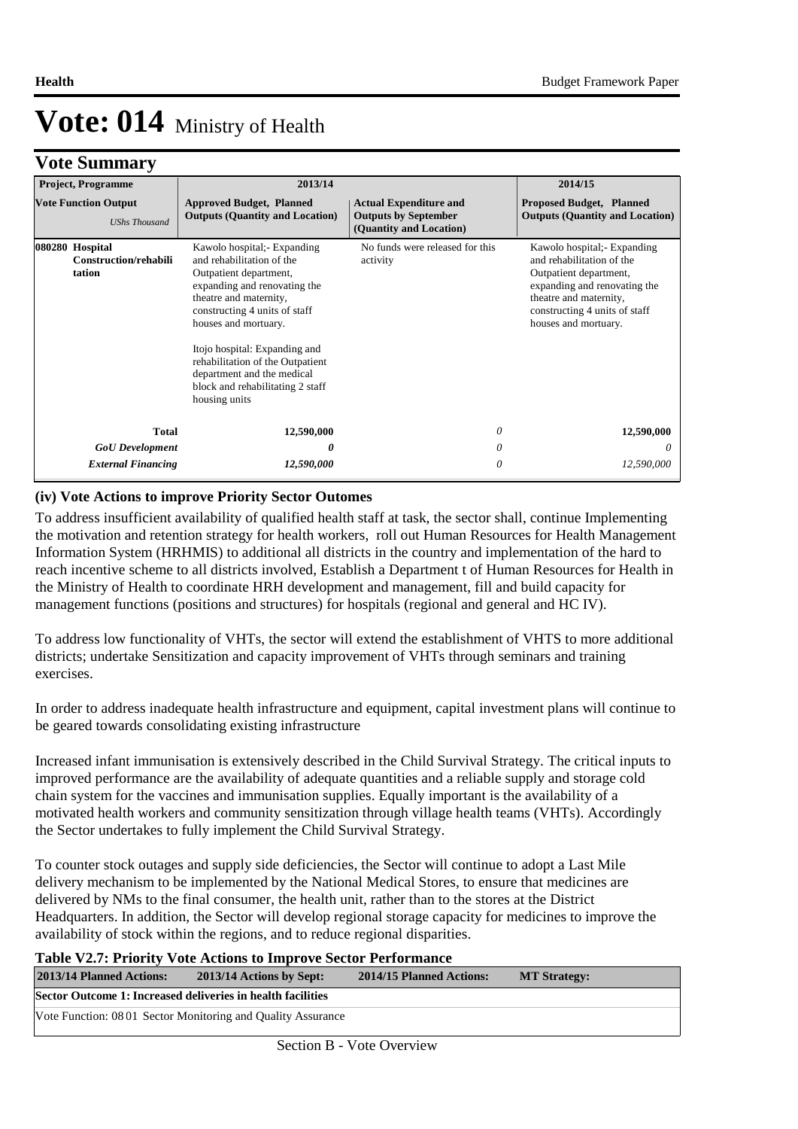### **Vote Summary**

| <b>Project, Programme</b>                           | 2013/14                                                                                                                                                                                                                                                                                                                                                      |   | 2014/15                                                                                                                                                                                              |
|-----------------------------------------------------|--------------------------------------------------------------------------------------------------------------------------------------------------------------------------------------------------------------------------------------------------------------------------------------------------------------------------------------------------------------|---|------------------------------------------------------------------------------------------------------------------------------------------------------------------------------------------------------|
| <b>Vote Function Output</b><br><b>UShs Thousand</b> | <b>Approved Budget, Planned</b><br><b>Actual Expenditure and</b><br><b>Outputs (Quantity and Location)</b><br><b>Outputs by September</b><br>(Quantity and Location)                                                                                                                                                                                         |   | <b>Proposed Budget, Planned</b><br><b>Outputs (Quantity and Location)</b>                                                                                                                            |
| 080280 Hospital<br>Construction/rehabili<br>tation  | Kawolo hospital; Expanding<br>and rehabilitation of the<br>Outpatient department,<br>expanding and renovating the<br>theatre and maternity,<br>constructing 4 units of staff<br>houses and mortuary.<br>Itojo hospital: Expanding and<br>rehabilitation of the Outpatient<br>department and the medical<br>block and rehabilitating 2 staff<br>housing units |   | Kawolo hospital; Expanding<br>and rehabilitation of the<br>Outpatient department,<br>expanding and renovating the<br>theatre and maternity,<br>constructing 4 units of staff<br>houses and mortuary. |
| <b>Total</b>                                        | 12,590,000                                                                                                                                                                                                                                                                                                                                                   | 0 | 12,590,000                                                                                                                                                                                           |
| <b>GoU</b> Development                              | 0                                                                                                                                                                                                                                                                                                                                                            | 0 | $\theta$                                                                                                                                                                                             |
| <b>External Financing</b>                           | 12,590,000                                                                                                                                                                                                                                                                                                                                                   | 0 | 12,590,000                                                                                                                                                                                           |

#### **(iv) Vote Actions to improve Priority Sector Outomes**

To address insufficient availability of qualified health staff at task, the sector shall, continue Implementing the motivation and retention strategy for health workers, roll out Human Resources for Health Management Information System (HRHMIS) to additional all districts in the country and implementation of the hard to reach incentive scheme to all districts involved, Establish a Department t of Human Resources for Health in the Ministry of Health to coordinate HRH development and management, fill and build capacity for management functions (positions and structures) for hospitals (regional and general and HC IV).

To address low functionality of VHTs, the sector will extend the establishment of VHTS to more additional districts; undertake Sensitization and capacity improvement of VHTs through seminars and training exercises.

In order to address inadequate health infrastructure and equipment, capital investment plans will continue to be geared towards consolidating existing infrastructure

Increased infant immunisation is extensively described in the Child Survival Strategy. The critical inputs to improved performance are the availability of adequate quantities and a reliable supply and storage cold chain system for the vaccines and immunisation supplies. Equally important is the availability of a motivated health workers and community sensitization through village health teams (VHTs). Accordingly the Sector undertakes to fully implement the Child Survival Strategy.

To counter stock outages and supply side deficiencies, the Sector will continue to adopt a Last Mile delivery mechanism to be implemented by the National Medical Stores, to ensure that medicines are delivered by NMs to the final consumer, the health unit, rather than to the stores at the District Headquarters. In addition, the Sector will develop regional storage capacity for medicines to improve the availability of stock within the regions, and to reduce regional disparities.

### **Table V2.7: Priority Vote Actions to Improve Sector Performance**

| 2013/14 Planned Actions:                                    | 2013/14 Actions by Sept:                                     | 2014/15 Planned Actions: | <b>MT Strategy:</b> |  |  |  |  |
|-------------------------------------------------------------|--------------------------------------------------------------|--------------------------|---------------------|--|--|--|--|
| Sector Outcome 1: Increased deliveries in health facilities |                                                              |                          |                     |  |  |  |  |
|                                                             | Vote Function: 08 01 Sector Monitoring and Quality Assurance |                          |                     |  |  |  |  |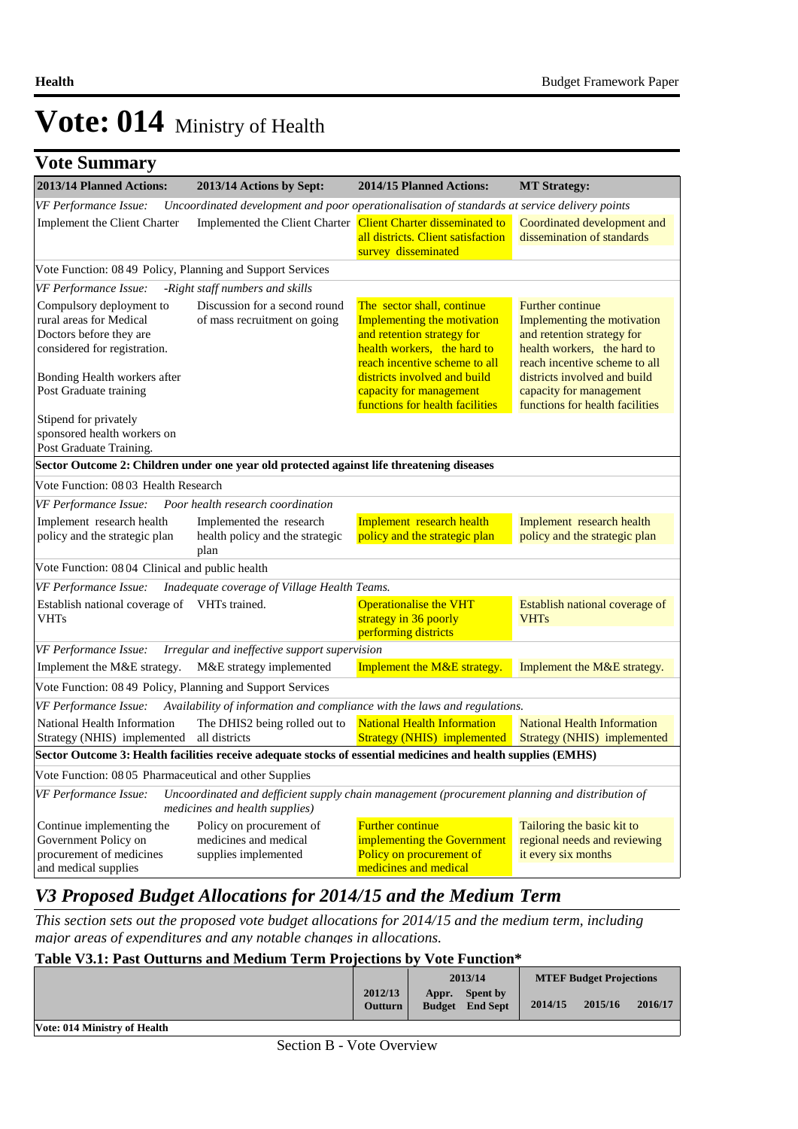### **Vote Summary**

| 2013/14 Planned Actions:                                                                                                                                                 | 2013/14 Actions by Sept:                                                                                                         | 2014/15 Planned Actions:                                                                                                                                                                                           | <b>MT Strategy:</b>                                                                                                                                                                                             |
|--------------------------------------------------------------------------------------------------------------------------------------------------------------------------|----------------------------------------------------------------------------------------------------------------------------------|--------------------------------------------------------------------------------------------------------------------------------------------------------------------------------------------------------------------|-----------------------------------------------------------------------------------------------------------------------------------------------------------------------------------------------------------------|
| VF Performance Issue:                                                                                                                                                    | Uncoordinated development and poor operationalisation of standards at service delivery points                                    |                                                                                                                                                                                                                    |                                                                                                                                                                                                                 |
| Implement the Client Charter                                                                                                                                             | Implemented the Client Charter Client Charter disseminated to                                                                    | all districts. Client satisfaction<br>survey disseminated                                                                                                                                                          | Coordinated development and<br>dissemination of standards                                                                                                                                                       |
| Vote Function: 08 49 Policy, Planning and Support Services                                                                                                               |                                                                                                                                  |                                                                                                                                                                                                                    |                                                                                                                                                                                                                 |
| VF Performance Issue:                                                                                                                                                    | -Right staff numbers and skills                                                                                                  |                                                                                                                                                                                                                    |                                                                                                                                                                                                                 |
| Compulsory deployment to<br>rural areas for Medical<br>Doctors before they are<br>considered for registration.<br>Bonding Health workers after<br>Post Graduate training | Discussion for a second round<br>of mass recruitment on going                                                                    | The sector shall, continue<br>Implementing the motivation<br>and retention strategy for<br>health workers, the hard to<br>reach incentive scheme to all<br>districts involved and build<br>capacity for management | <b>Further continue</b><br>Implementing the motivation<br>and retention strategy for<br>health workers, the hard to<br>reach incentive scheme to all<br>districts involved and build<br>capacity for management |
| Stipend for privately                                                                                                                                                    |                                                                                                                                  | functions for health facilities                                                                                                                                                                                    | functions for health facilities                                                                                                                                                                                 |
| sponsored health workers on<br>Post Graduate Training.                                                                                                                   |                                                                                                                                  |                                                                                                                                                                                                                    |                                                                                                                                                                                                                 |
|                                                                                                                                                                          | Sector Outcome 2: Children under one year old protected against life threatening diseases                                        |                                                                                                                                                                                                                    |                                                                                                                                                                                                                 |
| Vote Function: 08 03 Health Research                                                                                                                                     |                                                                                                                                  |                                                                                                                                                                                                                    |                                                                                                                                                                                                                 |
| VF Performance Issue:                                                                                                                                                    | Poor health research coordination                                                                                                |                                                                                                                                                                                                                    |                                                                                                                                                                                                                 |
| Implement research health<br>policy and the strategic plan                                                                                                               | Implemented the research<br>health policy and the strategic<br>plan                                                              | Implement research health<br>policy and the strategic plan                                                                                                                                                         | Implement research health<br>policy and the strategic plan                                                                                                                                                      |
| Vote Function: 08 04 Clinical and public health                                                                                                                          |                                                                                                                                  |                                                                                                                                                                                                                    |                                                                                                                                                                                                                 |
| VF Performance Issue:                                                                                                                                                    | Inadequate coverage of Village Health Teams.                                                                                     |                                                                                                                                                                                                                    |                                                                                                                                                                                                                 |
| Establish national coverage of VHTs trained.<br><b>VHTs</b>                                                                                                              |                                                                                                                                  | <b>Operationalise the VHT</b><br>strategy in 36 poorly<br>performing districts                                                                                                                                     | Establish national coverage of<br><b>VHTs</b>                                                                                                                                                                   |
| VF Performance Issue:                                                                                                                                                    | Irregular and ineffective support supervision                                                                                    |                                                                                                                                                                                                                    |                                                                                                                                                                                                                 |
| Implement the M&E strategy.                                                                                                                                              | M&E strategy implemented                                                                                                         | Implement the M&E strategy.                                                                                                                                                                                        | Implement the M&E strategy.                                                                                                                                                                                     |
| Vote Function: 08 49 Policy, Planning and Support Services                                                                                                               |                                                                                                                                  |                                                                                                                                                                                                                    |                                                                                                                                                                                                                 |
| VF Performance Issue:                                                                                                                                                    | Availability of information and compliance with the laws and regulations.                                                        |                                                                                                                                                                                                                    |                                                                                                                                                                                                                 |
| National Health Information<br>Strategy (NHIS) implemented all districts                                                                                                 | The DHIS2 being rolled out to                                                                                                    | <b>National Health Information</b><br><b>Strategy (NHIS)</b> implemented                                                                                                                                           | <b>National Health Information</b><br>Strategy (NHIS) implemented                                                                                                                                               |
|                                                                                                                                                                          | Sector Outcome 3: Health facilities receive adequate stocks of essential medicines and health supplies (EMHS)                    |                                                                                                                                                                                                                    |                                                                                                                                                                                                                 |
| Vote Function: 08 05 Pharmaceutical and other Supplies                                                                                                                   |                                                                                                                                  |                                                                                                                                                                                                                    |                                                                                                                                                                                                                 |
| VF Performance Issue:                                                                                                                                                    | Uncoordinated and defficient supply chain management (procurement planning and distribution of<br>medicines and health supplies) |                                                                                                                                                                                                                    |                                                                                                                                                                                                                 |
| Continue implementing the<br>Government Policy on<br>procurement of medicines<br>and medical supplies                                                                    | Policy on procurement of<br>medicines and medical<br>supplies implemented                                                        | <b>Further continue</b><br>implementing the Government<br>Policy on procurement of<br>medicines and medical                                                                                                        | Tailoring the basic kit to<br>regional needs and reviewing<br>it every six months                                                                                                                               |

### *V3 Proposed Budget Allocations for 2014/15 and the Medium Term*

*This section sets out the proposed vote budget allocations for 2014/15 and the medium term, including major areas of expenditures and any notable changes in allocations.* 

### **Table V3.1: Past Outturns and Medium Term Projections by Vote Function\***

|                              |                           | 2013/14 |                                           | <b>MTEF Budget Projections</b> |         |         |
|------------------------------|---------------------------|---------|-------------------------------------------|--------------------------------|---------|---------|
|                              | 2012/13<br><b>Outturn</b> | Appr.   | <b>Spent by</b><br><b>Budget</b> End Sept | 2014/15                        | 2015/16 | 2016/17 |
| Vote: 014 Ministry of Health |                           |         |                                           |                                |         |         |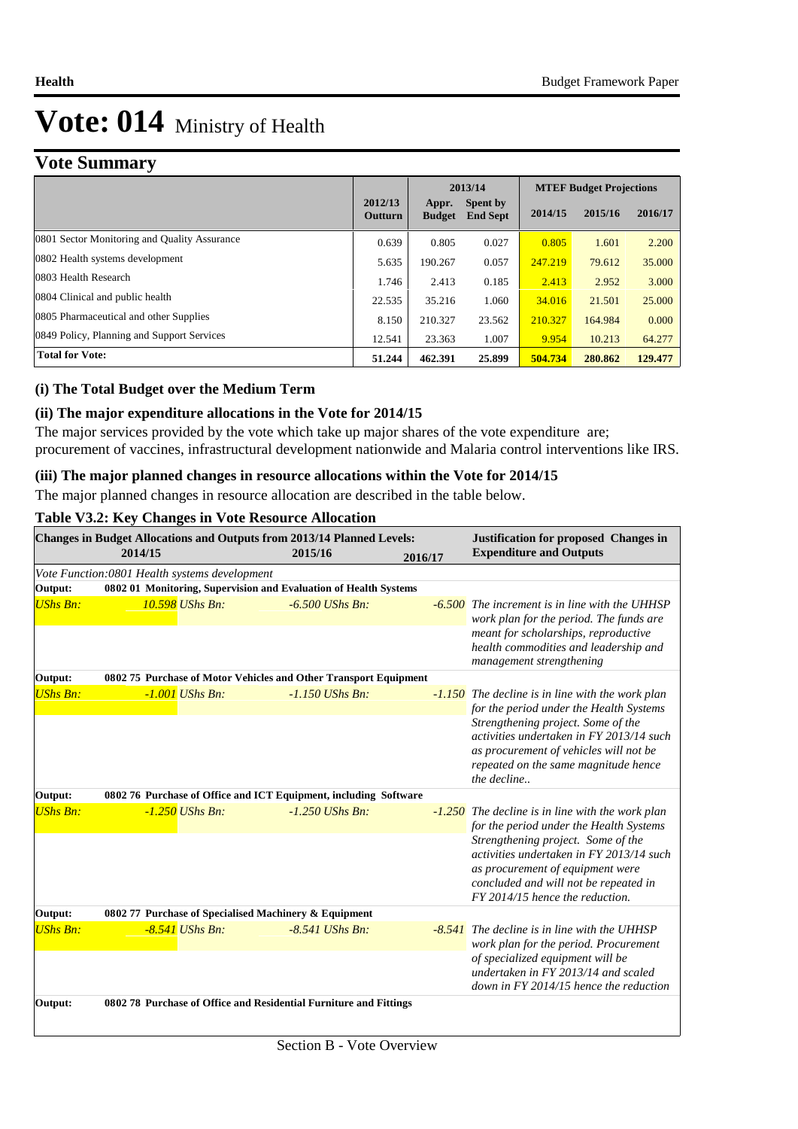### **Vote Summary**

|                                              |                    | 2013/14                |                             | <b>MTEF Budget Projections</b> |         |         |  |
|----------------------------------------------|--------------------|------------------------|-----------------------------|--------------------------------|---------|---------|--|
|                                              | 2012/13<br>Outturn | Appr.<br><b>Budget</b> | Spent by<br><b>End Sept</b> | 2014/15                        | 2015/16 | 2016/17 |  |
| 0801 Sector Monitoring and Quality Assurance | 0.639              | 0.805                  | 0.027                       | 0.805                          | 1.601   | 2.200   |  |
| 0802 Health systems development              | 5.635              | 190.267                | 0.057                       | 247.219                        | 79.612  | 35.000  |  |
| 0803 Health Research                         | 1.746              | 2.413                  | 0.185                       | 2.413                          | 2.952   | 3.000   |  |
| 0804 Clinical and public health              | 22.535             | 35.216                 | 1.060                       | 34.016                         | 21.501  | 25,000  |  |
| 0805 Pharmaceutical and other Supplies       | 8.150              | 210.327                | 23.562                      | 210.327                        | 164.984 | 0.000   |  |
| 0849 Policy, Planning and Support Services   | 12.541             | 23.363                 | 1.007                       | 9.954                          | 10.213  | 64.277  |  |
| <b>Total for Vote:</b>                       | 51.244             | 462.391                | 25.899                      | 504.734                        | 280.862 | 129.477 |  |

#### **(i) The Total Budget over the Medium Term**

### **(ii) The major expenditure allocations in the Vote for 2014/15**

The major services provided by the vote which take up major shares of the vote expenditure are; procurement of vaccines, infrastructural development nationwide and Malaria control interventions like IRS.

#### **(iii) The major planned changes in resource allocations within the Vote for 2014/15**

The major planned changes in resource allocation are described in the table below.

#### **Table V3.2: Key Changes in Vote Resource Allocation**

|                 | Changes in Budget Allocations and Outputs from 2013/14 Planned Levels:<br>2014/15 |                   | 2015/16 |                   | 2016/17 | <b>Justification for proposed Changes in</b><br><b>Expenditure and Outputs</b>                                                                                                  |
|-----------------|-----------------------------------------------------------------------------------|-------------------|---------|-------------------|---------|---------------------------------------------------------------------------------------------------------------------------------------------------------------------------------|
|                 | Vote Function:0801 Health systems development                                     |                   |         |                   |         |                                                                                                                                                                                 |
| Output:         | 0802 01 Monitoring, Supervision and Evaluation of Health Systems                  |                   |         |                   |         |                                                                                                                                                                                 |
| <b>UShs Bn:</b> |                                                                                   | 10.598 UShs Bn:   |         | $-6.500$ UShs Bn: |         | <b>-6.500</b> The increment is in line with the UHHSP<br>work plan for the period. The funds are                                                                                |
|                 |                                                                                   |                   |         |                   |         | meant for scholarships, reproductive<br>health commodities and leadership and<br>management strengthening                                                                       |
| Output:         | 0802 75 Purchase of Motor Vehicles and Other Transport Equipment                  |                   |         |                   |         |                                                                                                                                                                                 |
| <b>UShs Bn:</b> |                                                                                   | $-1.001$ UShs Bn: |         | $-1.150$ UShs Bn: |         | -1.150 The decline is in line with the work plan<br>for the period under the Health Systems                                                                                     |
|                 |                                                                                   |                   |         |                   |         | Strengthening project. Some of the<br>activities undertaken in FY 2013/14 such<br>as procurement of vehicles will not be<br>repeated on the same magnitude hence<br>the decline |
| Output:         | 0802 76 Purchase of Office and ICT Equipment, including Software                  |                   |         |                   |         |                                                                                                                                                                                 |
| <b>UShs Bn:</b> |                                                                                   | $-1.250$ UShs Bn: |         | $-1.250$ UShs Bn: |         | $-1.250$ The decline is in line with the work plan<br>for the period under the Health Systems                                                                                   |
|                 |                                                                                   |                   |         |                   |         | Strengthening project. Some of the<br>activities undertaken in FY 2013/14 such<br>as procurement of equipment were                                                              |
|                 |                                                                                   |                   |         |                   |         | concluded and will not be repeated in<br>FY 2014/15 hence the reduction.                                                                                                        |
| Output:         | 0802 77 Purchase of Specialised Machinery & Equipment                             |                   |         |                   |         |                                                                                                                                                                                 |
| <b>UShs Bn:</b> |                                                                                   | $-8.541$ UShs Bn: |         | $-8.541$ UShs Bn: |         | -8.541 The decline is in line with the UHHSP<br>work plan for the period. Procurement                                                                                           |
|                 |                                                                                   |                   |         |                   |         | of specialized equipment will be<br>undertaken in FY 2013/14 and scaled<br>down in $FY$ 2014/15 hence the reduction                                                             |
| Output:         | 0802 78 Purchase of Office and Residential Furniture and Fittings                 |                   |         |                   |         |                                                                                                                                                                                 |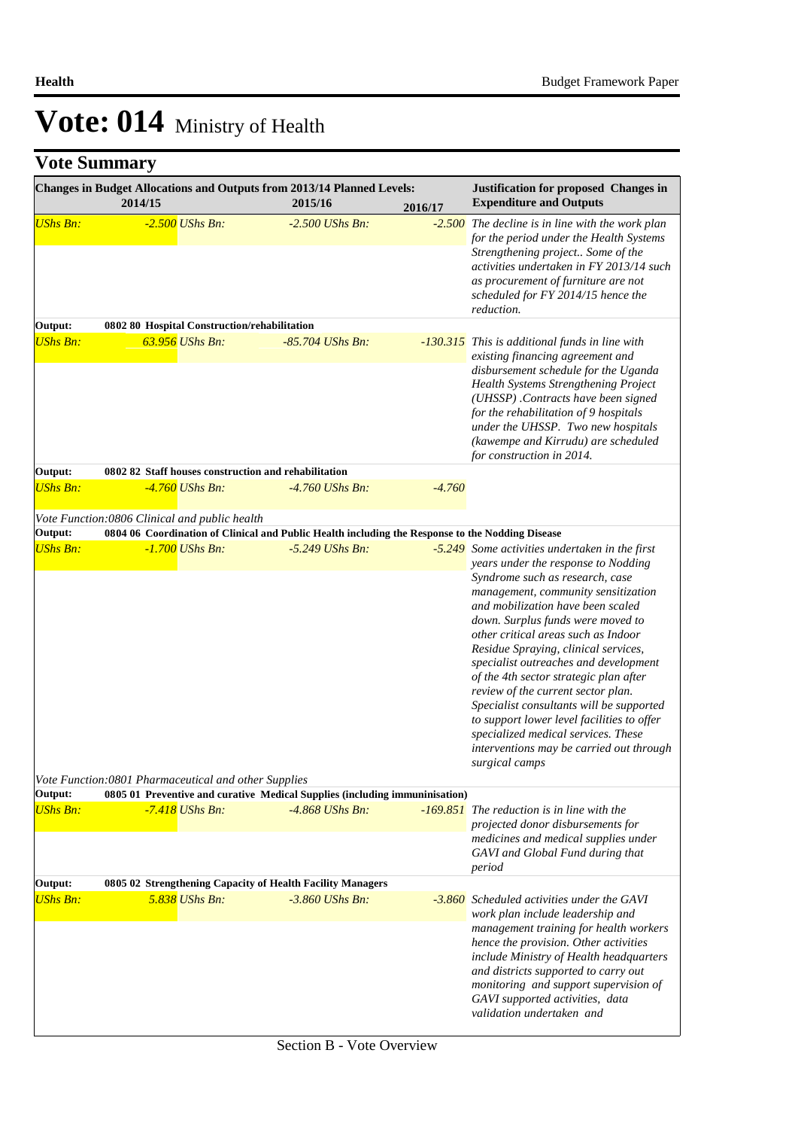|                            | Changes in Budget Allocations and Outputs from 2013/14 Planned Levels:<br>2014/15                                     | 2015/16           | 2016/17  | Justification for proposed Changes in<br><b>Expenditure and Outputs</b>                                                                                                                                                                                                                                                                                                                                                                                                                                                                                                                        |
|----------------------------|-----------------------------------------------------------------------------------------------------------------------|-------------------|----------|------------------------------------------------------------------------------------------------------------------------------------------------------------------------------------------------------------------------------------------------------------------------------------------------------------------------------------------------------------------------------------------------------------------------------------------------------------------------------------------------------------------------------------------------------------------------------------------------|
| <b>UShs Bn:</b>            | $-2.500$ UShs Bn:                                                                                                     | $-2.500$ UShs Bn: |          | $-2.500$ The decline is in line with the work plan<br>for the period under the Health Systems<br>Strengthening project Some of the<br>activities undertaken in FY 2013/14 such<br>as procurement of furniture are not<br>scheduled for FY 2014/15 hence the<br>reduction.                                                                                                                                                                                                                                                                                                                      |
| Output:                    | 0802 80 Hospital Construction/rehabilitation                                                                          |                   |          |                                                                                                                                                                                                                                                                                                                                                                                                                                                                                                                                                                                                |
| <b>UShs Bn:</b>            | 63.956 UShs Bn:                                                                                                       | -85.704 UShs Bn:  |          | -130.315 This is additional funds in line with<br>existing financing agreement and<br>disbursement schedule for the Uganda<br>Health Systems Strengthening Project<br>(UHSSP). Contracts have been signed<br>for the rehabilitation of 9 hospitals<br>under the UHSSP. Two new hospitals<br>(kawempe and Kirrudu) are scheduled<br>for construction in 2014.                                                                                                                                                                                                                                   |
| Output:                    | 0802 82 Staff houses construction and rehabilitation                                                                  |                   |          |                                                                                                                                                                                                                                                                                                                                                                                                                                                                                                                                                                                                |
| <b>UShs Bn:</b>            | -4.760 UShs Bn:                                                                                                       | -4.760 UShs Bn:   | $-4.760$ |                                                                                                                                                                                                                                                                                                                                                                                                                                                                                                                                                                                                |
|                            | Vote Function:0806 Clinical and public health                                                                         |                   |          |                                                                                                                                                                                                                                                                                                                                                                                                                                                                                                                                                                                                |
| Output:<br><b>UShs Bn:</b> | 0804 06 Coordination of Clinical and Public Health including the Response to the Nodding Disease<br>$-1.700$ UShs Bn: | $-5.249$ UShs Bn: |          | -5.249 Some activities undertaken in the first                                                                                                                                                                                                                                                                                                                                                                                                                                                                                                                                                 |
|                            | Vote Function:0801 Pharmaceutical and other Supplies                                                                  |                   |          | years under the response to Nodding<br>Syndrome such as research, case<br>management, community sensitization<br>and mobilization have been scaled<br>down. Surplus funds were moved to<br>other critical areas such as Indoor<br>Residue Spraying, clinical services,<br>specialist outreaches and development<br>of the 4th sector strategic plan after<br>review of the current sector plan.<br>Specialist consultants will be supported<br>to support lower level facilities to offer<br>specialized medical services. These<br>interventions may be carried out through<br>surgical camps |
| Output:                    | 0805 01 Preventive and curative Medical Supplies (including immuninisation)                                           |                   |          |                                                                                                                                                                                                                                                                                                                                                                                                                                                                                                                                                                                                |
| <b>UShs Bn:</b>            | $-7.418$ UShs Bn:                                                                                                     | $-4.868$ UShs Bn: |          | <b>-169.851</b> The reduction is in line with the<br>projected donor disbursements for<br>medicines and medical supplies under<br>GAVI and Global Fund during that<br>period                                                                                                                                                                                                                                                                                                                                                                                                                   |
| Output:                    | 0805 02 Strengthening Capacity of Health Facility Managers                                                            |                   |          |                                                                                                                                                                                                                                                                                                                                                                                                                                                                                                                                                                                                |
| <b>UShs Bn:</b>            | 5.838 UShs Bn:                                                                                                        | $-3.860$ UShs Bn: |          | -3.860 Scheduled activities under the GAVI<br>work plan include leadership and<br>management training for health workers<br>hence the provision. Other activities<br>include Ministry of Health headquarters<br>and districts supported to carry out<br>monitoring and support supervision of<br>GAVI supported activities, data<br>validation undertaken and                                                                                                                                                                                                                                  |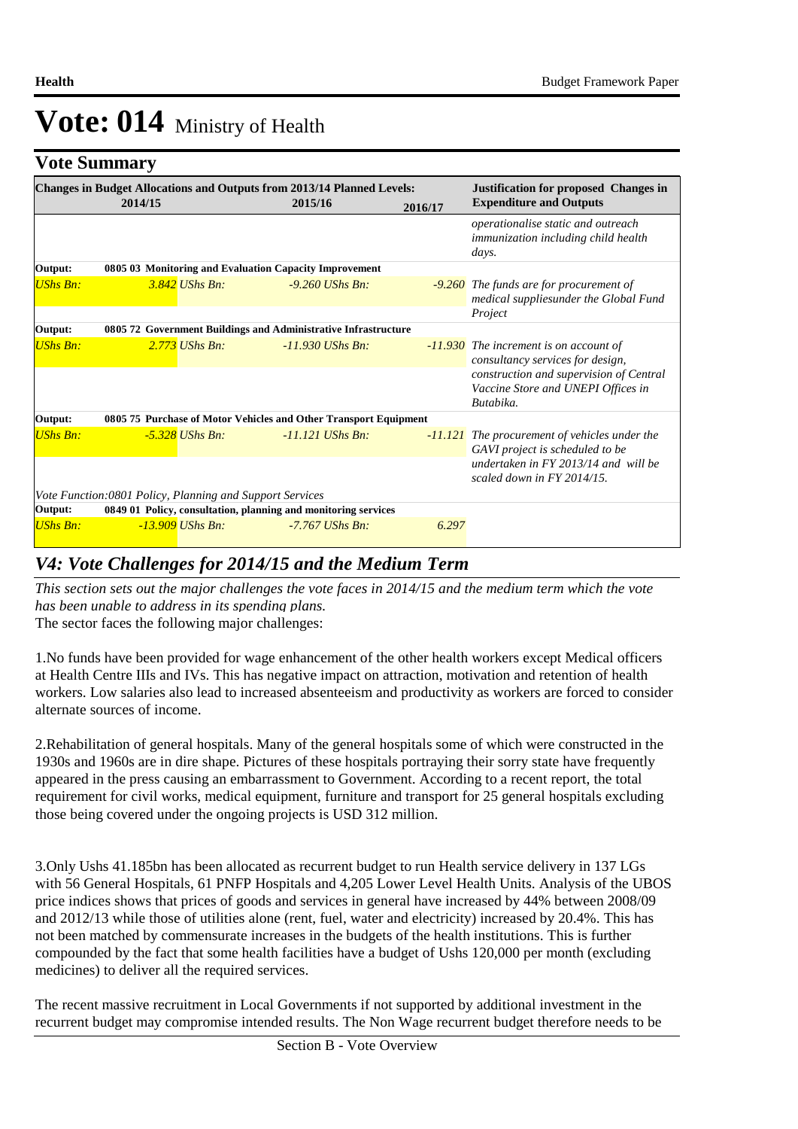### **Vote Summary**

|                 | <b>Changes in Budget Allocations and Outputs from 2013/14 Planned Levels:</b><br>2014/15 |                    | 2015/16 |                    | 2016/17 | <b>Justification for proposed Changes in</b><br><b>Expenditure and Outputs</b>             |
|-----------------|------------------------------------------------------------------------------------------|--------------------|---------|--------------------|---------|--------------------------------------------------------------------------------------------|
|                 |                                                                                          |                    |         |                    |         | operationalise static and outreach<br>immunization including child health<br>days.         |
| Output:         | 0805 03 Monitoring and Evaluation Capacity Improvement                                   |                    |         |                    |         |                                                                                            |
| <b>UShs Bn:</b> |                                                                                          | $3.842$ UShs Bn:   |         | $-9.260$ UShs Bn:  |         | <b>-9.260</b> The funds are for procurement of<br>medical suppliesunder the Global Fund    |
|                 |                                                                                          |                    |         |                    |         | Project                                                                                    |
| Output:         | 0805 72 Government Buildings and Administrative Infrastructure                           |                    |         |                    |         |                                                                                            |
| <b>UShs Bn:</b> |                                                                                          | $2.773$ UShs Bn:   |         | $-11.930$ UShs Bn: |         | -11.930 The increment is on account of<br>consultancy services for design,                 |
|                 |                                                                                          |                    |         |                    |         | construction and supervision of Central<br>Vaccine Store and UNEPI Offices in<br>Butabika. |
| Output:         | 0805 75 Purchase of Motor Vehicles and Other Transport Equipment                         |                    |         |                    |         |                                                                                            |
| <b>UShs Bn:</b> |                                                                                          | $-5.328$ UShs Bn:  |         | $-11.121$ UShs Bn: |         | -11.121 The procurement of vehicles under the<br>GAVI project is scheduled to be           |
|                 |                                                                                          |                    |         |                    |         | undertaken in FY 2013/14 and will be<br>scaled down in $FY$ 2014/15.                       |
|                 | Vote Function:0801 Policy, Planning and Support Services                                 |                    |         |                    |         |                                                                                            |
| Output:         | 0849 01 Policy, consultation, planning and monitoring services                           |                    |         |                    |         |                                                                                            |
| <b>UShs Bn:</b> |                                                                                          | $-13.909$ UShs Bn: |         | $-7.767$ UShs Bn:  | 6.297   |                                                                                            |

### *V4: Vote Challenges for 2014/15 and the Medium Term*

*This section sets out the major challenges the vote faces in 2014/15 and the medium term which the vote has been unable to address in its spending plans.*

The sector faces the following major challenges:

1. No funds have been provided for wage enhancement of the other health workers except Medical officers at Health Centre IIIs and IVs. This has negative impact on attraction, motivation and retention of health workers. Low salaries also lead to increased absenteeism and productivity as workers are forced to consider alternate sources of income.

2. Rehabilitation of general hospitals. Many of the general hospitals some of which were constructed in the 1930s and 1960s are in dire shape. Pictures of these hospitals portraying their sorry state have frequently appeared in the press causing an embarrassment to Government. According to a recent report, the total requirement for civil works, medical equipment, furniture and transport for 25 general hospitals excluding those being covered under the ongoing projects is USD 312 million.

3. Only Ushs 41.185bn has been allocated as recurrent budget to run Health service delivery in 137 LGs with 56 General Hospitals, 61 PNFP Hospitals and 4,205 Lower Level Health Units. Analysis of the UBOS price indices shows that prices of goods and services in general have increased by 44% between 2008/09 and 2012/13 while those of utilities alone (rent, fuel, water and electricity) increased by 20.4%. This has not been matched by commensurate increases in the budgets of the health institutions. This is further compounded by the fact that some health facilities have a budget of Ushs 120,000 per month (excluding medicines) to deliver all the required services.

The recent massive recruitment in Local Governments if not supported by additional investment in the recurrent budget may compromise intended results. The Non Wage recurrent budget therefore needs to be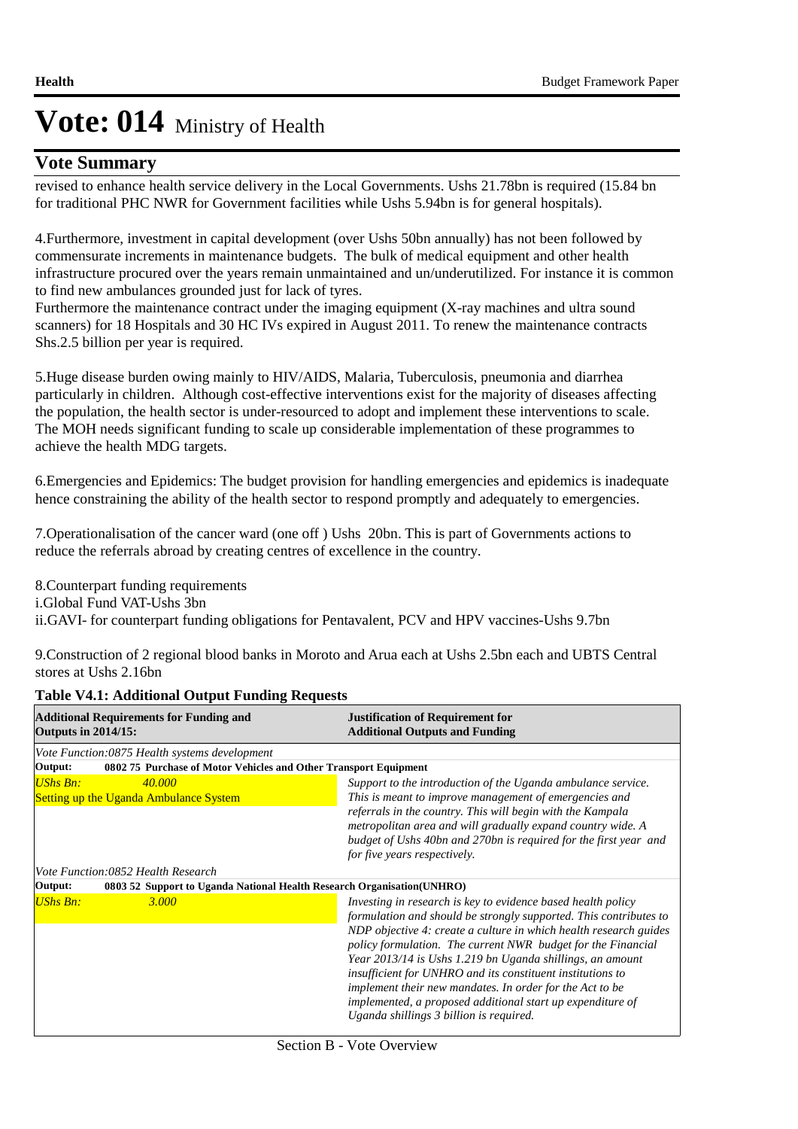### **Vote Summary**

revised to enhance health service delivery in the Local Governments. Ushs 21.78bn is required (15.84 bn for traditional PHC NWR for Government facilities while Ushs 5.94bn is for general hospitals).

4. Furthermore, investment in capital development (over Ushs 50bn annually) has not been followed by commensurate increments in maintenance budgets. The bulk of medical equipment and other health infrastructure procured over the years remain unmaintained and un/underutilized. For instance it is common to find new ambulances grounded just for lack of tyres.

Furthermore the maintenance contract under the imaging equipment (X-ray machines and ultra sound scanners) for 18 Hospitals and 30 HC IVs expired in August 2011. To renew the maintenance contracts Shs.2.5 billion per year is required.

5. Huge disease burden owing mainly to HIV/AIDS, Malaria, Tuberculosis, pneumonia and diarrhea particularly in children. Although cost-effective interventions exist for the majority of diseases affecting the population, the health sector is under-resourced to adopt and implement these interventions to scale. The MOH needs significant funding to scale up considerable implementation of these programmes to achieve the health MDG targets.

6. Emergencies and Epidemics: The budget provision for handling emergencies and epidemics is inadequate hence constraining the ability of the health sector to respond promptly and adequately to emergencies.

7. Operationalisation of the cancer ward (one off ) Ushs 20bn. This is part of Governments actions to reduce the referrals abroad by creating centres of excellence in the country.

8. Counterpart funding requirements i.Global Fund VAT-Ushs 3bn ii.GAVI- for counterpart funding obligations for Pentavalent, PCV and HPV vaccines-Ushs 9.7bn

9. Construction of 2 regional blood banks in Moroto and Arua each at Ushs 2.5bn each and UBTS Central stores at Ushs 2.16bn

| <b>Additional Requirements for Funding and</b><br><b>Outputs in 2014/15:</b>       | <b>Justification of Requirement for</b><br><b>Additional Outputs and Funding</b>                                                                                                                                                                                                                                                                                                                                                                                                                                                                                       |
|------------------------------------------------------------------------------------|------------------------------------------------------------------------------------------------------------------------------------------------------------------------------------------------------------------------------------------------------------------------------------------------------------------------------------------------------------------------------------------------------------------------------------------------------------------------------------------------------------------------------------------------------------------------|
| Vote Function:0875 Health systems development                                      |                                                                                                                                                                                                                                                                                                                                                                                                                                                                                                                                                                        |
| 0802 75 Purchase of Motor Vehicles and Other Transport Equipment<br>Output:        |                                                                                                                                                                                                                                                                                                                                                                                                                                                                                                                                                                        |
| UShs Bn:<br>40,000                                                                 | Support to the introduction of the Uganda ambulance service.                                                                                                                                                                                                                                                                                                                                                                                                                                                                                                           |
| <b>Setting up the Uganda Ambulance System</b>                                      | This is meant to improve management of emergencies and                                                                                                                                                                                                                                                                                                                                                                                                                                                                                                                 |
|                                                                                    | referrals in the country. This will begin with the Kampala<br>metropolitan area and will gradually expand country wide. A<br>budget of Ushs 40bn and 270bn is required for the first year and<br>for five years respectively.                                                                                                                                                                                                                                                                                                                                          |
| Vote Function:0852 Health Research                                                 |                                                                                                                                                                                                                                                                                                                                                                                                                                                                                                                                                                        |
| 0803 52 Support to Uganda National Health Research Organisation (UNHRO)<br>Output: |                                                                                                                                                                                                                                                                                                                                                                                                                                                                                                                                                                        |
| <b>UShs Bn:</b><br>3.000                                                           | Investing in research is key to evidence based health policy<br>formulation and should be strongly supported. This contributes to<br>NDP objective 4: create a culture in which health research guides<br>policy formulation. The current NWR budget for the Financial<br>Year 2013/14 is Ushs 1.219 bn Uganda shillings, an amount<br>insufficient for UNHRO and its constituent institutions to<br>implement their new mandates. In order for the Act to be<br>implemented, a proposed additional start up expenditure of<br>Uganda shillings 3 billion is required. |

### **Table V4.1: Additional Output Funding Requests**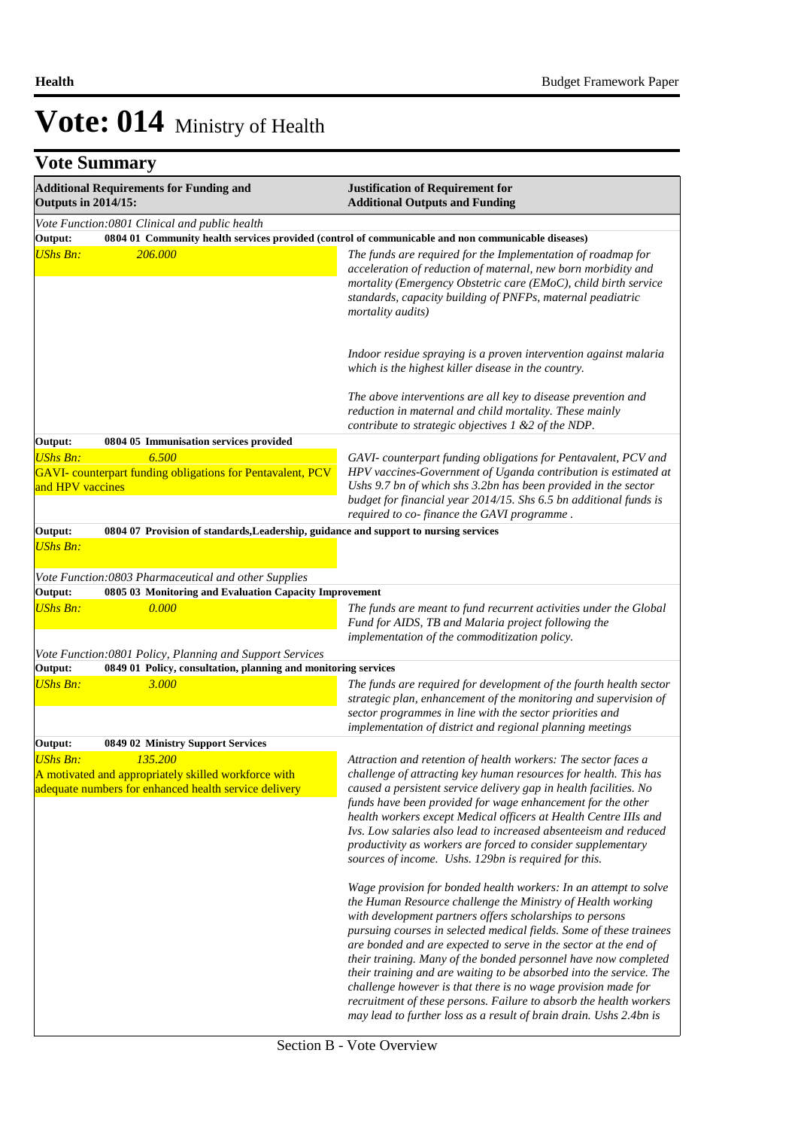| <b>Additional Requirements for Funding and</b><br><b>Outputs in 2014/15:</b>                                                                |                                                                                                                                                                                                                                                                                                                                                                                                                                                                                                                                                                                                                                                                           | <b>Justification of Requirement for</b><br><b>Additional Outputs and Funding</b>                                                                                                                                                                                                                                                                                                                                                                                                                                                                           |
|---------------------------------------------------------------------------------------------------------------------------------------------|---------------------------------------------------------------------------------------------------------------------------------------------------------------------------------------------------------------------------------------------------------------------------------------------------------------------------------------------------------------------------------------------------------------------------------------------------------------------------------------------------------------------------------------------------------------------------------------------------------------------------------------------------------------------------|------------------------------------------------------------------------------------------------------------------------------------------------------------------------------------------------------------------------------------------------------------------------------------------------------------------------------------------------------------------------------------------------------------------------------------------------------------------------------------------------------------------------------------------------------------|
| Output:<br><b>UShs Bn:</b>                                                                                                                  | Vote Function:0801 Clinical and public health<br><b>206.000</b>                                                                                                                                                                                                                                                                                                                                                                                                                                                                                                                                                                                                           | 0804 01 Community health services provided (control of communicable and non communicable diseases)<br>The funds are required for the Implementation of roadmap for<br>acceleration of reduction of maternal, new born morbidity and<br>mortality (Emergency Obstetric care (EMoC), child birth service<br>standards, capacity building of PNFPs, maternal peadiatric<br>mortality audits)                                                                                                                                                                  |
|                                                                                                                                             |                                                                                                                                                                                                                                                                                                                                                                                                                                                                                                                                                                                                                                                                           | Indoor residue spraying is a proven intervention against malaria<br>which is the highest killer disease in the country.<br>The above interventions are all key to disease prevention and                                                                                                                                                                                                                                                                                                                                                                   |
|                                                                                                                                             |                                                                                                                                                                                                                                                                                                                                                                                                                                                                                                                                                                                                                                                                           | reduction in maternal and child mortality. These mainly<br>contribute to strategic objectives $1 \& 2$ of the NDP.                                                                                                                                                                                                                                                                                                                                                                                                                                         |
| Output:                                                                                                                                     | 0804 05 Immunisation services provided                                                                                                                                                                                                                                                                                                                                                                                                                                                                                                                                                                                                                                    |                                                                                                                                                                                                                                                                                                                                                                                                                                                                                                                                                            |
| <b>UShs Bn:</b><br>and HPV vaccines                                                                                                         | 6.500<br>GAVI- counterpart funding obligations for Pentavalent, PCV                                                                                                                                                                                                                                                                                                                                                                                                                                                                                                                                                                                                       | GAVI- counterpart funding obligations for Pentavalent, PCV and<br>HPV vaccines-Government of Uganda contribution is estimated at<br>Ushs 9.7 bn of which shs 3.2bn has been provided in the sector<br>budget for financial year 2014/15. Shs 6.5 bn additional funds is<br>required to co-finance the GAVI programme.                                                                                                                                                                                                                                      |
| Output:                                                                                                                                     | 0804 07 Provision of standards, Leadership, guidance and support to nursing services                                                                                                                                                                                                                                                                                                                                                                                                                                                                                                                                                                                      |                                                                                                                                                                                                                                                                                                                                                                                                                                                                                                                                                            |
| <b>UShs Bn:</b>                                                                                                                             |                                                                                                                                                                                                                                                                                                                                                                                                                                                                                                                                                                                                                                                                           |                                                                                                                                                                                                                                                                                                                                                                                                                                                                                                                                                            |
|                                                                                                                                             | Vote Function:0803 Pharmaceutical and other Supplies                                                                                                                                                                                                                                                                                                                                                                                                                                                                                                                                                                                                                      |                                                                                                                                                                                                                                                                                                                                                                                                                                                                                                                                                            |
| Output:<br><b>UShs Bn:</b>                                                                                                                  | 0805 03 Monitoring and Evaluation Capacity Improvement<br>0.000                                                                                                                                                                                                                                                                                                                                                                                                                                                                                                                                                                                                           | The funds are meant to fund recurrent activities under the Global<br>Fund for AIDS, TB and Malaria project following the<br>implementation of the commoditization policy.                                                                                                                                                                                                                                                                                                                                                                                  |
|                                                                                                                                             | Vote Function:0801 Policy, Planning and Support Services                                                                                                                                                                                                                                                                                                                                                                                                                                                                                                                                                                                                                  |                                                                                                                                                                                                                                                                                                                                                                                                                                                                                                                                                            |
| Output:<br><b>UShs Bn:</b>                                                                                                                  | 0849 01 Policy, consultation, planning and monitoring services<br>3.000                                                                                                                                                                                                                                                                                                                                                                                                                                                                                                                                                                                                   | The funds are required for development of the fourth health sector<br>strategic plan, enhancement of the monitoring and supervision of<br>sector programmes in line with the sector priorities and<br>implementation of district and regional planning meetings                                                                                                                                                                                                                                                                                            |
| Output:                                                                                                                                     | 0849 02 Ministry Support Services                                                                                                                                                                                                                                                                                                                                                                                                                                                                                                                                                                                                                                         |                                                                                                                                                                                                                                                                                                                                                                                                                                                                                                                                                            |
| 135,200<br><b>UShs Bn:</b><br>A motivated and appropriately skilled workforce with<br>adequate numbers for enhanced health service delivery | Attraction and retention of health workers: The sector faces a<br>challenge of attracting key human resources for health. This has<br>caused a persistent service delivery gap in health facilities. No<br>funds have been provided for wage enhancement for the other<br>health workers except Medical officers at Health Centre IIIs and<br>Ivs. Low salaries also lead to increased absenteeism and reduced<br>productivity as workers are forced to consider supplementary<br>sources of income. Ushs. 129bn is required for this.<br>Wage provision for bonded health workers: In an attempt to solve<br>the Human Resource challenge the Ministry of Health working |                                                                                                                                                                                                                                                                                                                                                                                                                                                                                                                                                            |
|                                                                                                                                             |                                                                                                                                                                                                                                                                                                                                                                                                                                                                                                                                                                                                                                                                           | with development partners offers scholarships to persons<br>pursuing courses in selected medical fields. Some of these trainees<br>are bonded and are expected to serve in the sector at the end of<br>their training. Many of the bonded personnel have now completed<br>their training and are waiting to be absorbed into the service. The<br>challenge however is that there is no wage provision made for<br>recruitment of these persons. Failure to absorb the health workers<br>may lead to further loss as a result of brain drain. Ushs 2.4bn is |